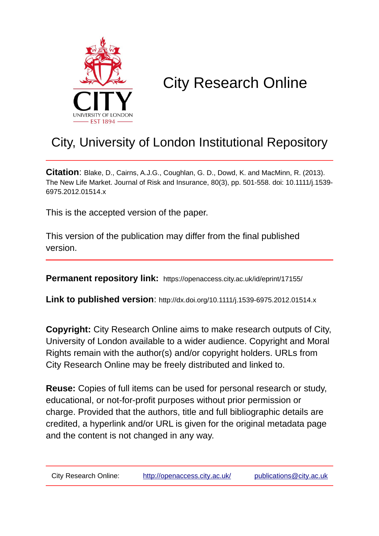

# City Research Online

## City, University of London Institutional Repository

**Citation**: Blake, D., Cairns, A.J.G., Coughlan, G. D., Dowd, K. and MacMinn, R. (2013). The New Life Market. Journal of Risk and Insurance, 80(3), pp. 501-558. doi: 10.1111/j.1539- 6975.2012.01514.x

This is the accepted version of the paper.

This version of the publication may differ from the final published version.

**Permanent repository link:** https://openaccess.city.ac.uk/id/eprint/17155/

**Link to published version**: http://dx.doi.org/10.1111/j.1539-6975.2012.01514.x

**Copyright:** City Research Online aims to make research outputs of City, University of London available to a wider audience. Copyright and Moral Rights remain with the author(s) and/or copyright holders. URLs from City Research Online may be freely distributed and linked to.

**Reuse:** Copies of full items can be used for personal research or study, educational, or not-for-profit purposes without prior permission or charge. Provided that the authors, title and full bibliographic details are credited, a hyperlink and/or URL is given for the original metadata page and the content is not changed in any way.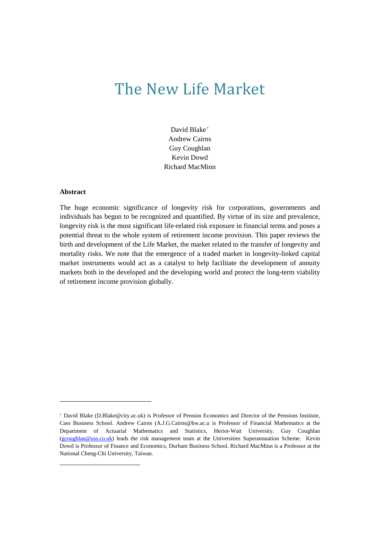## The New Life Market

David Blake<sup>[+](#page-1-0)</sup> Andrew Cairns Guy Coughlan Kevin Dowd Richard MacMinn

#### **Abstract**

 $\overline{a}$ 

\_\_\_\_\_\_\_\_\_\_\_\_\_\_\_\_\_\_\_\_\_\_\_

The huge economic significance of longevity risk for corporations, governments and individuals has begun to be recognized and quantified. By virtue of its size and prevalence, longevity risk is the most significant life-related risk exposure in financial terms and poses a potential threat to the whole system of retirement income provision. This paper reviews the birth and development of the Life Market, the market related to the transfer of longevity and mortality risks. We note that the emergence of a traded market in longevity-linked capital market instruments would act as a catalyst to help facilitate the development of annuity markets both in the developed and the developing world and protect the long-term viability of retirement income provision globally.

<span id="page-1-0"></span><sup>+</sup> David Blake [\(D.Blake@city.ac.uk\)](mailto:D.Blake@city.ac.uk) is Professor of Pension Economics and Director of the Pensions Institute, Cass Business School. Andrew Cairns (A.J.G.Cairns@hw.ac.u is Professor of Financial Mathematics at the Department of Actuarial Mathematics and Statistics, Heriot-Watt University. Guy Coughlan (gcoughlan@uss.co.uk) leads the risk management team at the Universities Superannuation Scheme. Kevin Dowd is Professor of Finance and Economics, Durham Business School. Richard MacMinn is a Professor at the National Cheng-Chi University, Taiwan.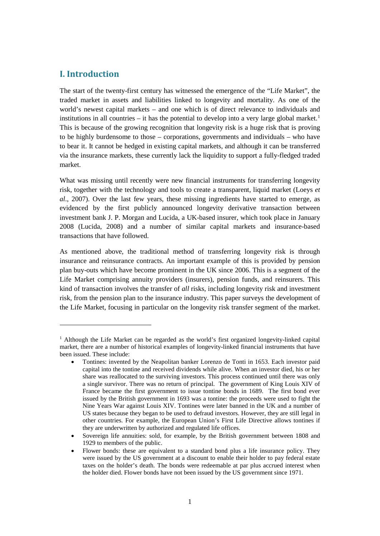### **I. Introduction**

 $\ddot{\phantom{a}}$ 

The start of the twenty-first century has witnessed the emergence of the "Life Market", the traded market in assets and liabilities linked to longevity and mortality. As one of the world's newest capital markets – and one which is of direct relevance to individuals and institutions in all countries – it has the potential to develop into a very large global market.<sup>[1](#page-2-0)</sup> This is because of the growing recognition that longevity risk is a huge risk that is proving to be highly burdensome to those – corporations, governments and individuals – who have to bear it. It cannot be hedged in existing capital markets, and although it can be transferred via the insurance markets, these currently lack the liquidity to support a fully-fledged traded market.

What was missing until recently were new financial instruments for transferring longevity risk, together with the technology and tools to create a transparent, liquid market (Loeys *et al*., 2007). Over the last few years, these missing ingredients have started to emerge, as evidenced by the first publicly announced longevity derivative transaction between investment bank J. P. Morgan and Lucida, a UK-based insurer, which took place in January 2008 (Lucida, 2008) and a number of similar capital markets and insurance-based transactions that have followed.

As mentioned above, the traditional method of transferring longevity risk is through insurance and reinsurance contracts. An important example of this is provided by pension plan buy-outs which have become prominent in the UK since 2006. This is a segment of the Life Market comprising annuity providers (insurers), pension funds, and reinsurers. This kind of transaction involves the transfer of *all* risks, including longevity risk and investment risk, from the pension plan to the insurance industry. This paper surveys the development of the Life Market, focusing in particular on the longevity risk transfer segment of the market.

<span id="page-2-0"></span> $<sup>1</sup>$  Although the Life Market can be regarded as the world's first organized longevity-linked capital</sup> market, there are a number of historical examples of longevity-linked financial instruments that have been issued. These include:

<sup>•</sup> Tontines: invented by the Neapolitan banker Lorenzo de Tonti in 1653. Each investor paid capital into the tontine and received dividends while alive. When an investor died, his or her share was reallocated to the surviving investors. This process continued until there was only a single survivor. There was no return of principal. The government of King Louis XIV of France became the first government to issue tontine bonds in 1689. The first bond ever issued by the British government in 1693 was a tontine: the proceeds were used to fight the Nine Years War against Louis XIV. Tontines were later banned in the UK and a number of US states because they began to be used to defraud investors. However, they are still legal in other countries. For example, the European Union's First Life Directive allows tontines if they are underwritten by authorized and regulated life offices.

<sup>•</sup> Sovereign life annuities: sold, for example, by the British government between 1808 and 1929 to members of the public.

<sup>•</sup> Flower bonds: these are equivalent to a standard bond plus a life insurance policy. They were issued by the US government at a discount to enable their holder to pay federal estate taxes on the holder's death. The bonds were redeemable at par plus accrued interest when the holder died. Flower bonds have not been issued by the US government since 1971.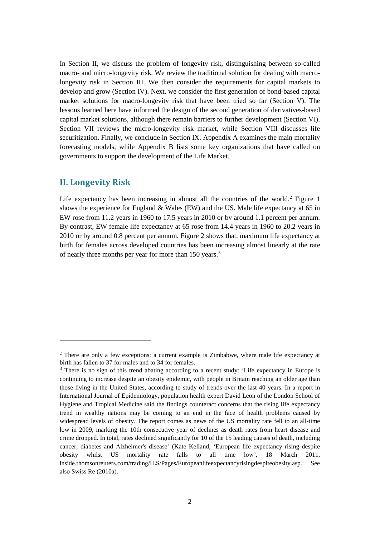In Section II, we discuss the problem of longevity risk, distinguishing between so-called macro- and micro-longevity risk. We review the traditional solution for dealing with macrolongevity risk in Section III. We then consider the requirements for capital markets to develop and grow (Section IV). Next, we consider the first generation of bond-based capital market solutions for macro-longevity risk that have been tried so far (Section V). The lessons learned here have informed the design of the second generation of derivatives-based capital market solutions, although there remain barriers to further development (Section VI). Section VII reviews the micro-longevity risk market, while Section VIII discusses life securitization. Finally, we conclude in Section IX. Appendix A examines the main mortality forecasting models, while Appendix B lists some key organizations that have called on governments to support the development of the Life Market.

### **II. Longevity Risk**

 $\overline{a}$ 

Life expectancy has been increasing in almost all the countries of the world.<sup>2</sup> Figure 1 shows the experience for England  $&$  Wales (EW) and the US. Male life expectancy at 65 in EW rose from 11.2 years in 1960 to 17.5 years in 2010 or by around 1.1 percent per annum. By contrast, EW female life expectancy at 65 rose from 14.4 years in 1960 to 20.2 years in 2010 or by around 0.8 percent per annum. Figure 2 shows that, maximum life expectancy at birth for females across developed countries has been increasing almost linearly at the rate of nearly three months per year for more than 150 years.[3](#page-3-1)

<span id="page-3-0"></span><sup>&</sup>lt;sup>2</sup> There are only a few exceptions: a current example is Zimbabwe, where male life expectancy at birth has fallen to 37 for males and to 34 for females.

<span id="page-3-1"></span><sup>3</sup> There is no sign of this trend abating according to a recent study: *'*Life expectancy in Europe is continuing to increase despite an obesity epidemic, with people in Britain reaching an older age than those living in the United States, according to study of trends over the last 40 years. In a report in International Journal of Epidemiology, population health expert David Leon of the London School of Hygiene and Tropical Medicine said the findings counteract concerns that the rising life expectancy trend in wealthy nations may be coming to an end in the face of health problems caused by widespread levels of obesity. The report comes as news of the US mortality rate fell to an all-time low in 2009, marking the 10th consecutive year of declines as death rates from heart disease and crime dropped. In total, rates declined significantly for 10 of the 15 leading causes of death, including cancer, diabetes and Alzheimer's disease*'* (Kate Kelland, *'*European life expectancy rising despite obesity whilst US mortality rate falls to all time low*'*, 18 March 2011, inside.thomsonreuters.com/trading/ILS/Pages/Europeanlifeexpectancyrisingdespiteobesity.asp. See also Swiss Re (2010a).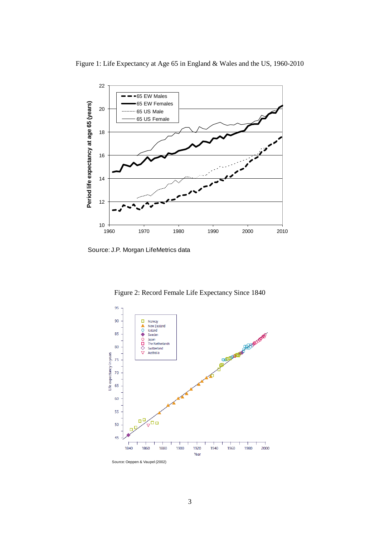



Source: J.P. Morgan LifeMetrics data

Figure 2: Record Female Life Expectancy Since 1840

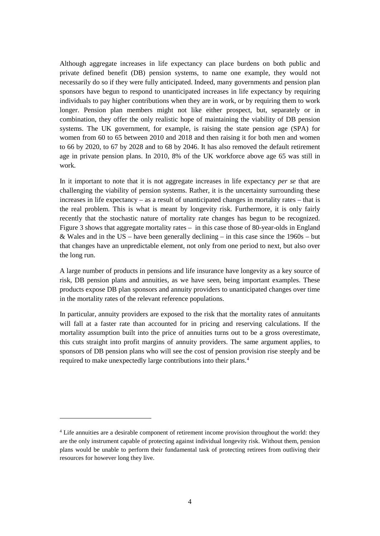Although aggregate increases in life expectancy can place burdens on both public and private defined benefit (DB) pension systems, to name one example, they would not necessarily do so if they were fully anticipated. Indeed, many governments and pension plan sponsors have begun to respond to unanticipated increases in life expectancy by requiring individuals to pay higher contributions when they are in work, or by requiring them to work longer. Pension plan members might not like either prospect, but, separately or in combination, they offer the only realistic hope of maintaining the viability of DB pension systems. The UK government, for example, is raising the state pension age (SPA) for women from 60 to 65 between 2010 and 2018 and then raising it for both men and women to 66 by 2020, to 67 by 2028 and to 68 by 2046. It has also removed the default retirement age in private pension plans. In 2010, 8% of the UK workforce above age 65 was still in work.

In it important to note that it is not aggregate increases in life expectancy *per se* that are challenging the viability of pension systems. Rather, it is the uncertainty surrounding these increases in life expectancy – as a result of unanticipated changes in mortality rates – that is the real problem. This is what is meant by longevity risk. Furthermore, it is only fairly recently that the stochastic nature of mortality rate changes has begun to be recognized. Figure 3 shows that aggregate mortality rates – in this case those of 80-year-olds in England & Wales and in the US – have been generally declining – in this case since the 1960s – but that changes have an unpredictable element, not only from one period to next, but also over the long run.

A large number of products in pensions and life insurance have longevity as a key source of risk, DB pension plans and annuities, as we have seen, being important examples. These products expose DB plan sponsors and annuity providers to unanticipated changes over time in the mortality rates of the relevant reference populations.

In particular, annuity providers are exposed to the risk that the mortality rates of annuitants will fall at a faster rate than accounted for in pricing and reserving calculations. If the mortality assumption built into the price of annuities turns out to be a gross overestimate, this cuts straight into profit margins of annuity providers. The same argument applies, to sponsors of DB pension plans who will see the cost of pension provision rise steeply and be required to make unexpectedly large contributions into their plans. [4](#page-5-0)

 $\ddot{\phantom{a}}$ 

<span id="page-5-0"></span><sup>4</sup> Life annuities are a desirable component of retirement income provision throughout the world: they are the only instrument capable of protecting against individual longevity risk. Without them, pension plans would be unable to perform their fundamental task of protecting retirees from outliving their resources for however long they live.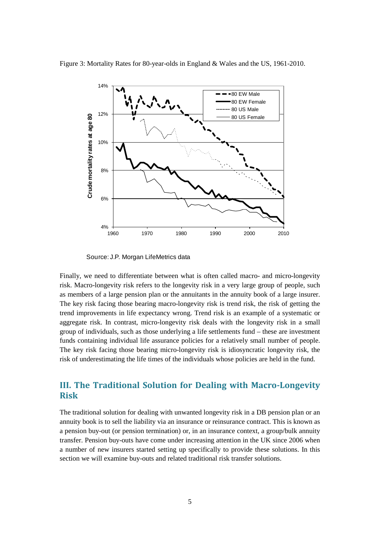Figure 3: Mortality Rates for 80-year-olds in England & Wales and the US, 1961-2010.



Source: J.P. Morgan LifeMetrics data

Finally, we need to differentiate between what is often called macro- and micro-longevity risk. Macro-longevity risk refers to the longevity risk in a very large group of people, such as members of a large pension plan or the annuitants in the annuity book of a large insurer. The key risk facing those bearing macro-longevity risk is trend risk, the risk of getting the trend improvements in life expectancy wrong. Trend risk is an example of a systematic or aggregate risk. In contrast, micro-longevity risk deals with the longevity risk in a small group of individuals, such as those underlying a life settlements fund – these are investment funds containing individual life assurance policies for a relatively small number of people. The key risk facing those bearing micro-longevity risk is idiosyncratic longevity risk, the risk of underestimating the life times of the individuals whose policies are held in the fund.

### **III. The Traditional Solution for Dealing with Macro-Longevity Risk**

The traditional solution for dealing with unwanted longevity risk in a DB pension plan or an annuity book is to sell the liability via an insurance or reinsurance contract. This is known as a pension buy-out (or pension termination) or, in an insurance context, a group/bulk annuity transfer. Pension buy-outs have come under increasing attention in the UK since 2006 when a number of new insurers started setting up specifically to provide these solutions. In this section we will examine buy-outs and related traditional risk transfer solutions.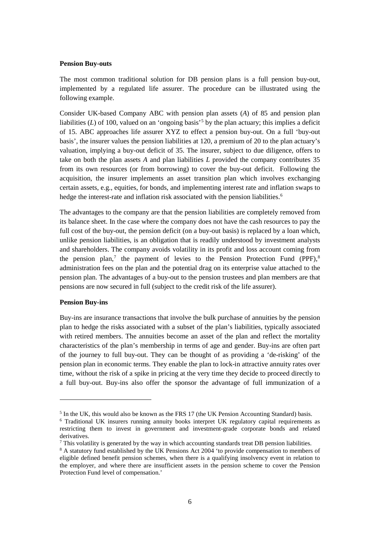#### **Pension Buy-outs**

The most common traditional solution for DB pension plans is a full pension buy-out, implemented by a regulated life assurer. The procedure can be illustrated using the following example.

Consider UK-based Company ABC with pension plan assets (*A*) of 85 and pension plan liabilities  $(L)$  of 100, valued on an 'ongoing basis'<sup>[5](#page-7-0)</sup> by the plan actuary; this implies a deficit of 15. ABC approaches life assurer XYZ to effect a pension buy-out. On a full 'buy-out basis', the insurer values the pension liabilities at 120, a premium of 20 to the plan actuary's valuation, implying a buy-out deficit of 35. The insurer, subject to due diligence, offers to take on both the plan assets *A* and plan liabilities *L* provided the company contributes 35 from its own resources (or from borrowing) to cover the buy-out deficit. Following the acquisition, the insurer implements an asset transition plan which involves exchanging certain assets, e.g., equities, for bonds, and implementing interest rate and inflation swaps to hedge the interest-rate and inflation risk associated with the pension liabilities.<sup>[6](#page-7-1)</sup>

The advantages to the company are that the pension liabilities are completely removed from its balance sheet. In the case where the company does not have the cash resources to pay the full cost of the buy-out, the pension deficit (on a buy-out basis) is replaced by a loan which, unlike pension liabilities, is an obligation that is readily understood by investment analysts and shareholders. The company avoids volatility in its profit and loss account coming from the pension plan,<sup>[7](#page-7-2)</sup> the payment of levies to the Pension Protection Fund (PPF), $8$ administration fees on the plan and the potential drag on its enterprise value attached to the pension plan. The advantages of a buy-out to the pension trustees and plan members are that pensions are now secured in full (subject to the credit risk of the life assurer).

### **Pension Buy-ins**

 $\overline{a}$ 

Buy-ins are insurance transactions that involve the bulk purchase of annuities by the pension plan to hedge the risks associated with a subset of the plan's liabilities, typically associated with retired members. The annuities become an asset of the plan and reflect the mortality characteristics of the plan's membership in terms of age and gender. Buy-ins are often part of the journey to full buy-out. They can be thought of as providing a 'de-risking' of the pension plan in economic terms. They enable the plan to lock-in attractive annuity rates over time, without the risk of a spike in pricing at the very time they decide to proceed directly to a full buy-out. Buy-ins also offer the sponsor the advantage of full immunization of a

<span id="page-7-0"></span><sup>&</sup>lt;sup>5</sup> In the UK, this would also be known as the FRS 17 (the UK Pension Accounting Standard) basis.

<span id="page-7-1"></span><sup>6</sup> Traditional UK insurers running annuity books interpret UK regulatory capital requirements as restricting them to invest in government and investment-grade corporate bonds and related derivatives.

<span id="page-7-2"></span> $<sup>7</sup>$  This volatility is generated by the way in which accounting standards treat DB pension liabilities.</sup>

<span id="page-7-3"></span><sup>&</sup>lt;sup>8</sup> A statutory fund established by the UK Pensions Act 2004 'to provide compensation to members of eligible defined benefit pension schemes, when there is a qualifying insolvency event in relation to the employer, and where there are insufficient assets in the pension scheme to cover the Pension Protection Fund level of compensation.'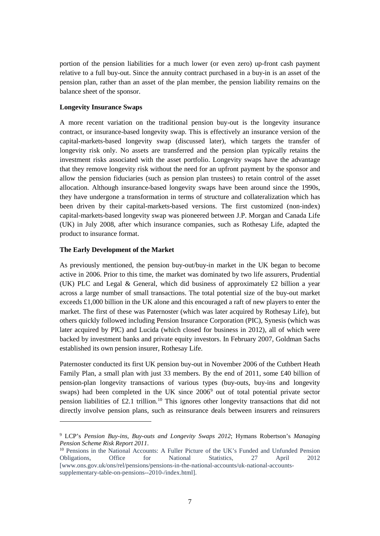portion of the pension liabilities for a much lower (or even zero) up-front cash payment relative to a full buy-out. Since the annuity contract purchased in a buy-in is an asset of the pension plan, rather than an asset of the plan member, the pension liability remains on the balance sheet of the sponsor.

### **Longevity Insurance Swaps**

A more recent variation on the traditional pension buy-out is the longevity insurance contract, or insurance-based longevity swap. This is effectively an insurance version of the capital-markets-based longevity swap (discussed later), which targets the transfer of longevity risk only. No assets are transferred and the pension plan typically retains the investment risks associated with the asset portfolio. Longevity swaps have the advantage that they remove longevity risk without the need for an upfront payment by the sponsor and allow the pension fiduciaries (such as pension plan trustees) to retain control of the asset allocation. Although insurance-based longevity swaps have been around since the 1990s, they have undergone a transformation in terms of structure and collateralization which has been driven by their capital-markets-based versions. The first customized (non-index) capital-markets-based longevity swap was pioneered between J.P. Morgan and Canada Life (UK) in July 2008, after which insurance companies, such as Rothesay Life, adapted the product to insurance format.

#### **The Early Development of the Market**

 $\overline{a}$ 

As previously mentioned, the pension buy-out/buy-in market in the UK began to become active in 2006. Prior to this time, the market was dominated by two life assurers, Prudential (UK) PLC and Legal & General, which did business of approximately  $\pounds 2$  billion a year across a large number of small transactions. The total potential size of the buy-out market exceeds £1,000 billion in the UK alone and this encouraged a raft of new players to enter the market. The first of these was Paternoster (which was later acquired by Rothesay Life), but others quickly followed including Pension Insurance Corporation (PIC), Synesis (which was later acquired by PIC) and Lucida (which closed for business in 2012), all of which were backed by investment banks and private equity investors. In February 2007, Goldman Sachs established its own pension insurer, Rothesay Life.

Paternoster conducted its first UK pension buy-out in November 2006 of the Cuthbert Heath Family Plan, a small plan with just 33 members. By the end of 2011, some £40 billion of pension-plan longevity transactions of various types (buy-outs, buy-ins and longevity swaps) had been completed in the UK since 2006<sup>[9](#page-8-0)</sup> out of total potential private sector pension liabilities of £2.1 trillion.<sup>[10](#page-8-1)</sup> This ignores other longevity transactions that did not directly involve pension plans, such as reinsurance deals between insurers and reinsurers

<span id="page-8-0"></span><sup>9</sup> LCP's *Pension Buy-ins, Buy-outs and Longevity Swaps 2012*; Hymans Robertson's *Managing* 

<span id="page-8-1"></span><sup>&</sup>lt;sup>10</sup> Pensions in the National Accounts: A Fuller Picture of the UK's Funded and Unfunded Pension<br>Obligations, Office for National Statistics. 27 April 2012 Obligations, Office for National Statistics, 27 April 2012 [www.ons.gov.uk/ons/rel/pensions/pensions-in-the-national-accounts/uk-national-accountssupplementary-table-on-pensions--2010-/index.html].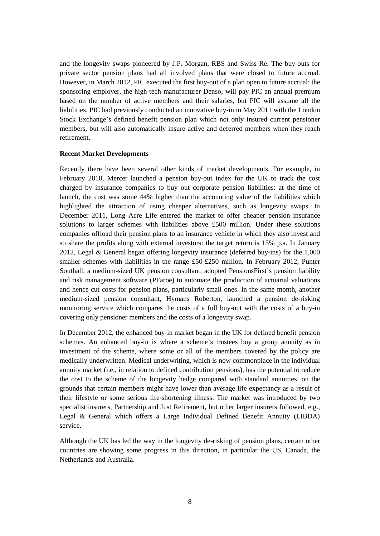and the longevity swaps pioneered by J.P. Morgan, RBS and Swiss Re. The buy-outs for private sector pension plans had all involved plans that were closed to future accrual. However, in March 2012, PIC executed the first buy-out of a plan open to future accrual: the sponsoring employer, the high-tech manufacturer Denso, will pay PIC an annual premium based on the number of active members and their salaries, but PIC will assume all the liabilities. PIC had previously conducted an innovative buy-in in May 2011 with the London Stock Exchange's defined benefit pension plan which not only insured current pensioner members, but will also automatically insure active and deferred members when they reach retirement.

#### **Recent Market Developments**

Recently there have been several other kinds of market developments. For example, in February 2010, Mercer launched a pension buy-out index for the UK to track the cost charged by insurance companies to buy out corporate pension liabilities: at the time of launch, the cost was some 44% higher than the accounting value of the liabilities which highlighted the attraction of using cheaper alternatives, such as longevity swaps. In December 2011, Long Acre Life entered the market to offer cheaper pension insurance solutions to larger schemes with liabilities above  $£500$  million. Under these solutions companies offload their pension plans to an insurance vehicle in which they also invest and so share the profits along with external investors: the target return is 15% p.a. In January 2012, Legal & General began offering longevity insurance (deferred buy-ins) for the 1,000 smaller schemes with liabilities in the range £50-£250 million. In February 2012, Punter Southall, a medium-sized UK pension consultant, adopted PensionsFirst's pension liability and risk management software (PFaroe) to automate the production of actuarial valuations and hence cut costs for pension plans, particularly small ones. In the same month, another medium-sized pension consultant, Hymans Roberton, launched a pension de-risking monitoring service which compares the costs of a full buy-out with the costs of a buy-in covering only pensioner members and the costs of a longevity swap.

In December 2012, the enhanced buy-in market began in the UK for defined benefit pension schemes. An enhanced buy-in is where a scheme's trustees buy a group annuity as in investment of the scheme, where some or all of the members covered by the policy are medically underwritten. Medical underwriting, which is now commonplace in the individual annuity market (i.e., in relation to defined contribution pensions), has the potential to reduce the cost to the scheme of the longevity hedge compared with standard annuities, on the grounds that certain members might have lower than average life expectancy as a result of their lifestyle or some serious life-shortening illness. The market was introduced by two specialist insurers, Partnership and Just Retirement, but other larger insurers followed, e.g., Legal & General which offers a Large Individual Defined Benefit Annuity (LIBDA) service.

Although the UK has led the way in the longevity de-risking of pension plans, certain other countries are showing some progress in this direction, in particular the US, Canada, the Netherlands and Australia.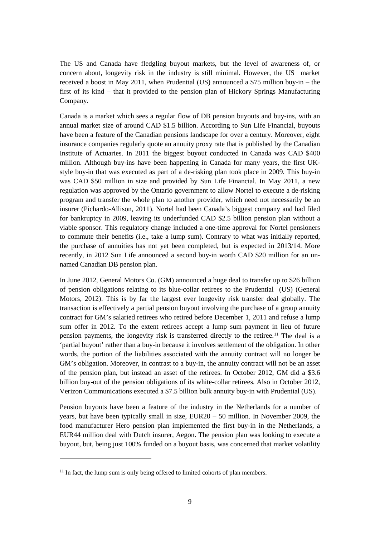The US and Canada have fledgling buyout markets, but the level of awareness of, or concern about, longevity risk in the industry is still minimal. However, the US market received a boost in May 2011, when Prudential (US) announced a \$75 million buy-in – the first of its kind – that it provided to the pension plan of Hickory Springs Manufacturing Company.

Canada is a market which sees a regular flow of DB pension buyouts and buy-ins, with an annual market size of around CAD \$1.5 billion. According to Sun Life Financial, buyouts have been a feature of the Canadian pensions landscape for over a century. Moreover, eight insurance companies regularly quote an annuity proxy rate that is published by the Canadian Institute of Actuaries. In 2011 the biggest buyout conducted in Canada was CAD \$400 million. Although buy-ins have been happening in Canada for many years, the first UKstyle buy-in that was executed as part of a de-risking plan took place in 2009. This buy-in was CAD \$50 million in size and provided by Sun Life Financial. In May 2011, a new regulation was approved by the Ontario government to allow Nortel to execute a de-risking program and transfer the whole plan to another provider, which need not necessarily be an insurer (Pichardo-Allison, 2011). Nortel had been Canada's biggest company and had filed for bankruptcy in 2009, leaving its underfunded CAD \$2.5 billion pension plan without a viable sponsor. This regulatory change included a one-time approval for Nortel pensioners to commute their benefits (i.e., take a lump sum). Contrary to what was initially reported, the purchase of annuities has not yet been completed, but is expected in 2013/14. More recently, in 2012 Sun Life announced a second buy-in worth CAD \$20 million for an unnamed Canadian DB pension plan.

In June 2012, General Motors Co. (GM) announced a huge deal to transfer up to \$26 billion of pension obligations relating to its blue-collar retirees to the Prudential (US) (General Motors, 2012). This is by far the largest ever longevity risk transfer deal globally. The transaction is effectively a partial pension buyout involving the purchase of a group annuity contract for GM's salaried retirees who retired before December 1, 2011 and refuse a lump sum offer in 2012. To the extent retirees accept a lump sum payment in lieu of future pension payments, the longevity risk is transferred directly to the retiree.<sup>[11](#page-10-0)</sup> The deal is a 'partial buyout' rather than a buy-in because it involves settlement of the obligation. In other words, the portion of the liabilities associated with the annuity contract will no longer be GM's obligation. Moreover, in contrast to a buy-in, the annuity contract will not be an asset of the pension plan, but instead an asset of the retirees. In October 2012, GM did a \$3.6 billion buy-out of the pension obligations of its white-collar retirees. Also in October 2012, Verizon Communications executed a \$7.5 billion bulk annuity buy-in with Prudential (US).

Pension buyouts have been a feature of the industry in the Netherlands for a number of years, but have been typically small in size, EUR20 – 50 million. In November 2009, the food manufacturer Hero pension plan implemented the first buy-in in the Netherlands, a EUR44 million deal with Dutch insurer, Aegon. The pension plan was looking to execute a buyout, but, being just 100% funded on a buyout basis, was concerned that market volatility

<span id="page-10-0"></span> $11$  In fact, the lump sum is only being offered to limited cohorts of plan members.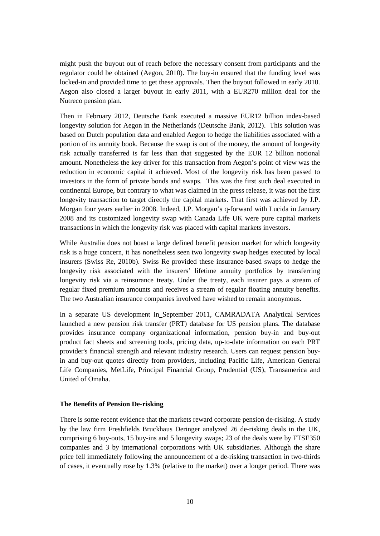might push the buyout out of reach before the necessary consent from participants and the regulator could be obtained (Aegon, 2010). The buy-in ensured that the funding level was locked-in and provided time to get these approvals. Then the buyout followed in early 2010. Aegon also closed a larger buyout in early 2011, with a EUR270 million deal for the Nutreco pension plan.

Then in February 2012, Deutsche Bank executed a massive EUR12 billion index-based longevity solution for Aegon in the Netherlands (Deutsche Bank, 2012). This solution was based on Dutch population data and enabled Aegon to hedge the liabilities associated with a portion of its annuity book. Because the swap is out of the money, the amount of longevity risk actually transferred is far less than that suggested by the EUR 12 billion notional amount. Nonetheless the key driver for this transaction from Aegon's point of view was the reduction in economic capital it achieved. Most of the longevity risk has been passed to investors in the form of private bonds and swaps. This was the first such deal executed in continental Europe, but contrary to what was claimed in the press release, it was not the first longevity transaction to target directly the capital markets. That first was achieved by J.P. Morgan four years earlier in 2008. Indeed, J.P. Morgan's q-forward with Lucida in January 2008 and its customized longevity swap with Canada Life UK were pure capital markets transactions in which the longevity risk was placed with capital markets investors.

While Australia does not boast a large defined benefit pension market for which longevity risk is a huge concern, it has nonetheless seen two longevity swap hedges executed by local insurers (Swiss Re, 2010b). Swiss Re provided these insurance-based swaps to hedge the longevity risk associated with the insurers' lifetime annuity portfolios by transferring longevity risk via a reinsurance treaty. Under the treaty, each insurer pays a stream of regular fixed premium amounts and receives a stream of regular floating annuity benefits. The two Australian insurance companies involved have wished to remain anonymous.

In a separate US development in September 2011, CAMRADATA Analytical Services launched a new pension risk transfer (PRT) database for US pension plans. The database provides insurance company organizational information, pension buy-in and buy-out product fact sheets and screening tools, pricing data, up-to-date information on each PRT provider's financial strength and relevant industry research. Users can request pension buyin and buy-out quotes directly from providers, including Pacific Life, American General Life Companies, MetLife, Principal Financial Group, Prudential (US), Transamerica and United of Omaha.

### **The Benefits of Pension De-risking**

There is some recent evidence that the markets reward corporate pension de-risking. A study by the law firm Freshfields Bruckhaus Deringer analyzed 26 de-risking deals in the UK, comprising 6 buy-outs, 15 buy-ins and 5 longevity swaps; 23 of the deals were by FTSE350 companies and 3 by international corporations with UK subsidiaries. Although the share price fell immediately following the announcement of a de-risking transaction in two-thirds of cases, it eventually rose by 1.3% (relative to the market) over a longer period. There was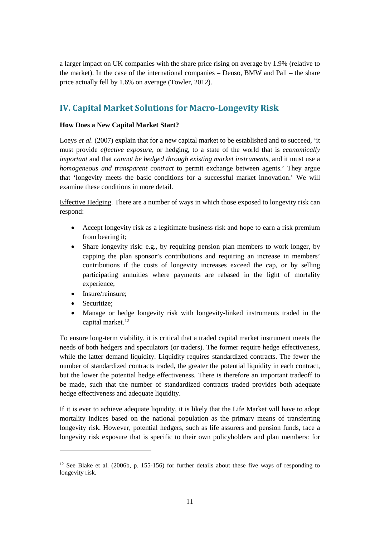a larger impact on UK companies with the share price rising on average by 1.9% (relative to the market). In the case of the international companies – Denso, BMW and Pall – the share price actually fell by 1.6% on average (Towler, 2012).

### **IV. Capital Market Solutions for Macro-Longevity Risk**

### **How Does a New Capital Market Start?**

Loeys *et al.* (2007) explain that for a new capital market to be established and to succeed, 'it must provide *effective exposure*, or hedging, to a state of the world that is *economically important* and that *cannot be hedged through existing market instruments*, and it must use a *homogeneous and transparent contract* to permit exchange between agents.' They argue that 'longevity meets the basic conditions for a successful market innovation.' We will examine these conditions in more detail.

Effective Hedging. There are a number of ways in which those exposed to longevity risk can respond:

- Accept longevity risk as a legitimate business risk and hope to earn a risk premium from bearing it;
- Share longevity risk: e.g., by requiring pension plan members to work longer, by capping the plan sponsor's contributions and requiring an increase in members' contributions if the costs of longevity increases exceed the cap, or by selling participating annuities where payments are rebased in the light of mortality experience;
- Insure/reinsure:
- Securitize:

 $\ddot{\phantom{a}}$ 

• Manage or hedge longevity risk with longevity-linked instruments traded in the capital market.<sup>12</sup>

To ensure long-term viability, it is critical that a traded capital market instrument meets the needs of both hedgers and speculators (or traders). The former require hedge effectiveness, while the latter demand liquidity. Liquidity requires standardized contracts. The fewer the number of standardized contracts traded, the greater the potential liquidity in each contract, but the lower the potential hedge effectiveness. There is therefore an important tradeoff to be made, such that the number of standardized contracts traded provides both adequate hedge effectiveness and adequate liquidity.

If it is ever to achieve adequate liquidity, it is likely that the Life Market will have to adopt mortality indices based on the national population as the primary means of transferring longevity risk. However, potential hedgers, such as life assurers and pension funds, face a longevity risk exposure that is specific to their own policyholders and plan members: for

<span id="page-12-0"></span><sup>&</sup>lt;sup>12</sup> See Blake et al. (2006b, p. 155-156) for further details about these five ways of responding to longevity risk.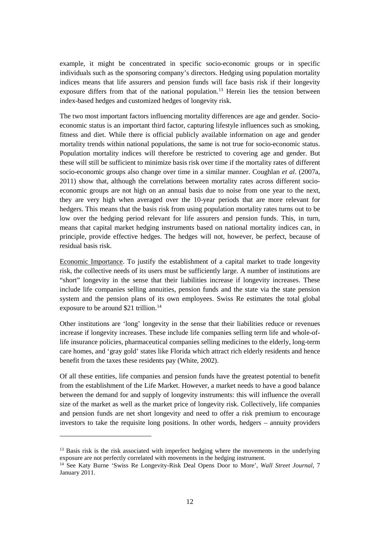example, it might be concentrated in specific socio-economic groups or in specific individuals such as the sponsoring company's directors. Hedging using population mortality indices means that life assurers and pension funds will face basis risk if their longevity exposure differs from that of the national population.<sup>[13](#page-13-0)</sup> Herein lies the tension between index-based hedges and customized hedges of longevity risk.

The two most important factors influencing mortality differences are age and gender. Socioeconomic status is an important third factor, capturing lifestyle influences such as smoking, fitness and diet. While there is official publicly available information on age and gender mortality trends within national populations, the same is not true for socio-economic status. Population mortality indices will therefore be restricted to covering age and gender. But these will still be sufficient to minimize basis risk over time if the mortality rates of different socio-economic groups also change over time in a similar manner. Coughlan *et al*. (2007a, 2011) show that, although the correlations between mortality rates across different socioeconomic groups are not high on an annual basis due to noise from one year to the next, they are very high when averaged over the 10-year periods that are more relevant for hedgers. This means that the basis risk from using population mortality rates turns out to be low over the hedging period relevant for life assurers and pension funds. This, in turn, means that capital market hedging instruments based on national mortality indices can, in principle, provide effective hedges. The hedges will not, however, be perfect, because of residual basis risk.

Economic Importance. To justify the establishment of a capital market to trade longevity risk, the collective needs of its users must be sufficiently large. A number of institutions are "short" longevity in the sense that their liabilities increase if longevity increases. These include life companies selling annuities, pension funds and the state via the state pension system and the pension plans of its own employees. Swiss Re estimates the total global exposure to be around \$21 trillion.<sup>[14](#page-13-1)</sup>

Other institutions are 'long' longevity in the sense that their liabilities reduce or revenues increase if longevity increases. These include life companies selling term life and whole-oflife insurance policies, pharmaceutical companies selling medicines to the elderly, long-term care homes, and 'gray gold' states like Florida which attract rich elderly residents and hence benefit from the taxes these residents pay (White, 2002).

Of all these entities, life companies and pension funds have the greatest potential to benefit from the establishment of the Life Market. However, a market needs to have a good balance between the demand for and supply of longevity instruments: this will influence the overall size of the market as well as the market price of longevity risk. Collectively, life companies and pension funds are net short longevity and need to offer a risk premium to encourage investors to take the requisite long positions. In other words, hedgers – annuity providers

<span id="page-13-0"></span><sup>&</sup>lt;sup>13</sup> Basis risk is the risk associated with imperfect hedging where the movements in the underlying exposure are not perfectly correlated with movements in the hedging instrument.

<span id="page-13-1"></span><sup>14</sup> See Katy Burne 'Swiss Re Longevity-Risk Deal Opens Door to More', *Wall Street Journal*, 7 January 2011.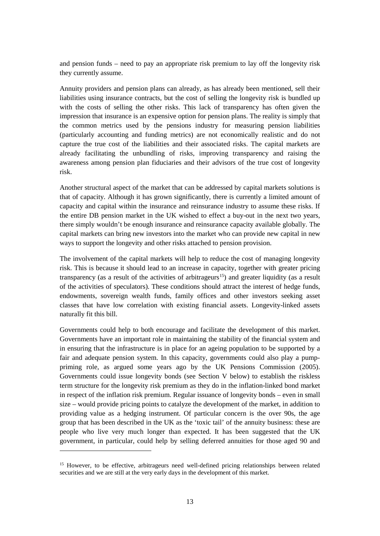and pension funds – need to pay an appropriate risk premium to lay off the longevity risk they currently assume.

Annuity providers and pension plans can already, as has already been mentioned, sell their liabilities using insurance contracts, but the cost of selling the longevity risk is bundled up with the costs of selling the other risks. This lack of transparency has often given the impression that insurance is an expensive option for pension plans. The reality is simply that the common metrics used by the pensions industry for measuring pension liabilities (particularly accounting and funding metrics) are not economically realistic and do not capture the true cost of the liabilities and their associated risks. The capital markets are already facilitating the unbundling of risks, improving transparency and raising the awareness among pension plan fiduciaries and their advisors of the true cost of longevity risk.

Another structural aspect of the market that can be addressed by capital markets solutions is that of capacity. Although it has grown significantly, there is currently a limited amount of capacity and capital within the insurance and reinsurance industry to assume these risks. If the entire DB pension market in the UK wished to effect a buy-out in the next two years, there simply wouldn't be enough insurance and reinsurance capacity available globally. The capital markets can bring new investors into the market who can provide new capital in new ways to support the longevity and other risks attached to pension provision.

The involvement of the capital markets will help to reduce the cost of managing longevity risk. This is because it should lead to an increase in capacity, together with greater pricing transparency (as a result of the activities of arbitrageurs<sup>[15](#page-14-0)</sup>) and greater liquidity (as a result of the activities of speculators). These conditions should attract the interest of hedge funds, endowments, sovereign wealth funds, family offices and other investors seeking asset classes that have low correlation with existing financial assets. Longevity-linked assets naturally fit this bill.

Governments could help to both encourage and facilitate the development of this market. Governments have an important role in maintaining the stability of the financial system and in ensuring that the infrastructure is in place for an ageing population to be supported by a fair and adequate pension system. In this capacity, governments could also play a pumppriming role, as argued some years ago by the UK Pensions Commission (2005). Governments could issue longevity bonds (see Section V below) to establish the riskless term structure for the longevity risk premium as they do in the inflation-linked bond market in respect of the inflation risk premium. Regular issuance of longevity bonds – even in small size – would provide pricing points to catalyze the development of the market, in addition to providing value as a hedging instrument. Of particular concern is the over 90s, the age group that has been described in the UK as the 'toxic tail' of the annuity business: these are people who live very much longer than expected. It has been suggested that the UK government, in particular, could help by selling deferred annuities for those aged 90 and

 $\ddot{\phantom{a}}$ 

<span id="page-14-0"></span><sup>&</sup>lt;sup>15</sup> However, to be effective, arbitrageurs need well-defined pricing relationships between related securities and we are still at the very early days in the development of this market.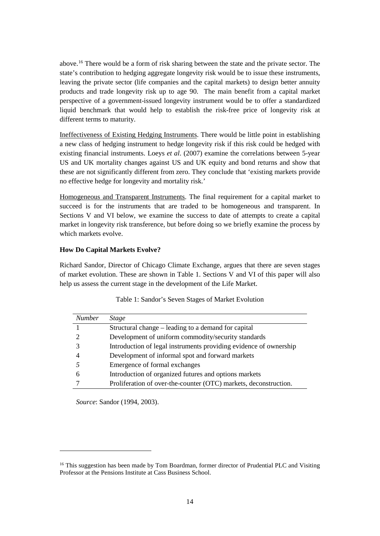above.[16](#page-15-0) There would be a form of risk sharing between the state and the private sector. The state's contribution to hedging aggregate longevity risk would be to issue these instruments, leaving the private sector (life companies and the capital markets) to design better annuity products and trade longevity risk up to age 90. The main benefit from a capital market perspective of a government-issued longevity instrument would be to offer a standardized liquid benchmark that would help to establish the risk-free price of longevity risk at different terms to maturity.

Ineffectiveness of Existing Hedging Instruments. There would be little point in establishing a new class of hedging instrument to hedge longevity risk if this risk could be hedged with existing financial instruments. Loeys *et al*. (2007) examine the correlations between 5-year US and UK mortality changes against US and UK equity and bond returns and show that these are not significantly different from zero. They conclude that 'existing markets provide no effective hedge for longevity and mortality risk.'

Homogeneous and Transparent Instruments. The final requirement for a capital market to succeed is for the instruments that are traded to be homogeneous and transparent. In Sections V and VI below, we examine the success to date of attempts to create a capital market in longevity risk transference, but before doing so we briefly examine the process by which markets evolve.

### **How Do Capital Markets Evolve?**

Richard Sandor, Director of Chicago Climate Exchange, argues that there are seven stages of market evolution. These are shown in Table 1. Sections V and VI of this paper will also help us assess the current stage in the development of the Life Market.

| <b>Number</b> | <i>Stage</i>                                                      |
|---------------|-------------------------------------------------------------------|
|               | Structural change – leading to a demand for capital               |
|               | Development of uniform commodity/security standards               |
|               | Introduction of legal instruments providing evidence of ownership |
|               | Development of informal spot and forward markets                  |
|               | Emergence of formal exchanges                                     |
|               | Introduction of organized futures and options markets             |
|               | Proliferation of over-the-counter (OTC) markets, deconstruction.  |

| Table 1: Sandor's Seven Stages of Market Evolution |  |
|----------------------------------------------------|--|
|----------------------------------------------------|--|

*Source*: Sandor (1994, 2003).

 $\ddot{\phantom{a}}$ 

<span id="page-15-0"></span><sup>&</sup>lt;sup>16</sup> This suggestion has been made by Tom Boardman, former director of Prudential PLC and Visiting Professor at the Pensions Institute at Cass Business School.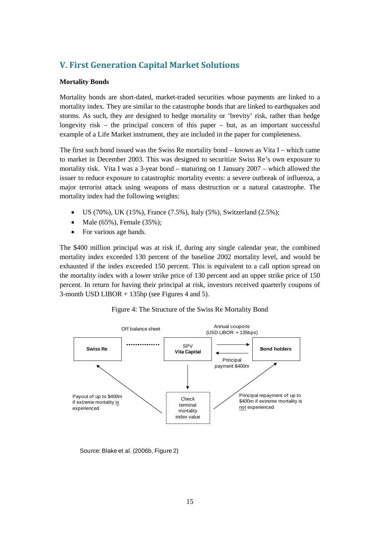### **V. First Generation Capital Market Solutions**

### **Mortality Bonds**

Mortality bonds are short-dated, market-traded securities whose payments are linked to a mortality index. They are similar to the catastrophe bonds that are linked to earthquakes and storms. As such, they are designed to hedge mortality or 'brevity' risk, rather than hedge longevity risk – the principal concern of this paper – but, as an important successful example of a Life Market instrument, they are included in the paper for completeness.

The first such bond issued was the Swiss Re mortality bond – known as Vita I – which came to market in December 2003. This was designed to securitize Swiss Re's own exposure to mortality risk. Vita I was a 3-year bond – maturing on 1 January 2007 – which allowed the issuer to reduce exposure to catastrophic mortality events: a severe outbreak of influenza, a major terrorist attack using weapons of mass destruction or a natural catastrophe. The mortality index had the following weights:

- US (70%), UK (15%), France (7.5%), Italy (5%), Switzerland (2.5%);
- Male (65%), Female (35%);
- For various age bands.

The \$400 million principal was at risk if, during any single calendar year, the combined mortality index exceeded 130 percent of the baseline 2002 mortality level, and would be exhausted if the index exceeded 150 percent. This is equivalent to a call option spread on the mortality index with a lower strike price of 130 percent and an upper strike price of 150 percent. In return for having their principal at risk, investors received quarterly coupons of 3-month USD LIBOR + 135bp (see Figures 4 and 5).





Source: Blake et al. (2006b, Figure 2)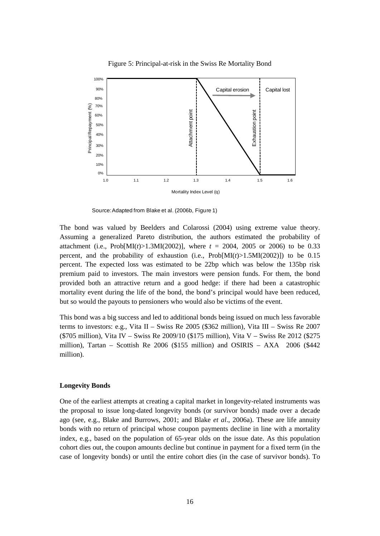



Source: Adapted from Blake et al. (2006b, Figure 1)

The bond was valued by Beelders and Colarossi (2004) using extreme value theory. Assuming a generalized Pareto distribution, the authors estimated the probability of attachment (i.e., Prob[MI(*t*)>1.3MI(2002)], where  $t = 2004$ , 2005 or 2006) to be 0.33 percent, and the probability of exhaustion (i.e.,  $Prob[MI(t) > 1.5MI(2002)]$ ) to be 0.15 percent. The expected loss was estimated to be 22bp which was below the 135bp risk premium paid to investors. The main investors were pension funds. For them, the bond provided both an attractive return and a good hedge: if there had been a catastrophic mortality event during the life of the bond, the bond's principal would have been reduced, but so would the payouts to pensioners who would also be victims of the event.

This bond was a big success and led to additional bonds being issued on much less favorable terms to investors: e.g., Vita II – Swiss Re 2005 (\$362 million), Vita III – Swiss Re 2007 (\$705 million), Vita IV – Swiss Re 2009/10 (\$175 million), Vita V – Swiss Re 2012 (\$275 million), Tartan – Scottish Re 2006 (\$155 million) and OSIRIS – AXA 2006 (\$442 million).

#### **Longevity Bonds**

One of the earliest attempts at creating a capital market in longevity-related instruments was the proposal to issue long-dated longevity bonds (or survivor bonds) made over a decade ago (see, e.g., Blake and Burrows, 2001; and Blake *et al*., 2006a). These are life annuity bonds with no return of principal whose coupon payments decline in line with a mortality index, e.g., based on the population of 65-year olds on the issue date. As this population cohort dies out, the coupon amounts decline but continue in payment for a fixed term (in the case of longevity bonds) or until the entire cohort dies (in the case of survivor bonds). To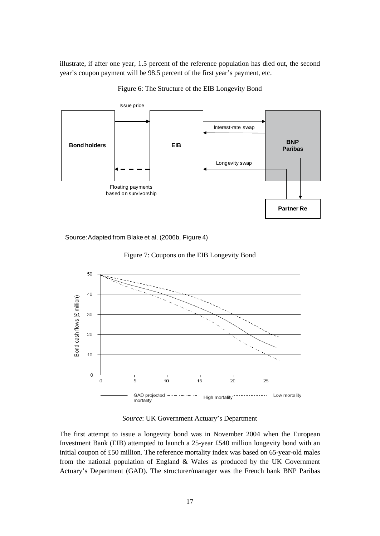illustrate, if after one year, 1.5 percent of the reference population has died out, the second year's coupon payment will be 98.5 percent of the first year's payment, etc.



Figure 6: The Structure of the EIB Longevity Bond





Figure 7: Coupons on the EIB Longevity Bond

*Source*: UK Government Actuary's Department

The first attempt to issue a longevity bond was in November 2004 when the European Investment Bank (EIB) attempted to launch a 25-year £540 million longevity bond with an initial coupon of £50 million. The reference mortality index was based on 65-year-old males from the national population of England & Wales as produced by the UK Government Actuary's Department (GAD). The structurer/manager was the French bank BNP Paribas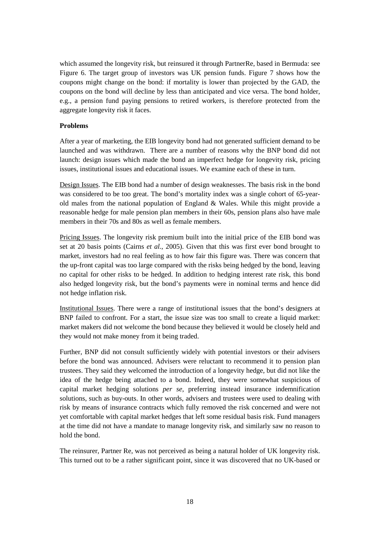which assumed the longevity risk, but reinsured it through PartnerRe, based in Bermuda: see Figure 6. The target group of investors was UK pension funds. Figure 7 shows how the coupons might change on the bond: if mortality is lower than projected by the GAD, the coupons on the bond will decline by less than anticipated and vice versa. The bond holder, e.g., a pension fund paying pensions to retired workers, is therefore protected from the aggregate longevity risk it faces.

### **Problems**

After a year of marketing, the EIB longevity bond had not generated sufficient demand to be launched and was withdrawn. There are a number of reasons why the BNP bond did not launch: design issues which made the bond an imperfect hedge for longevity risk, pricing issues, institutional issues and educational issues. We examine each of these in turn.

Design Issues. The EIB bond had a number of design weaknesses. The basis risk in the bond was considered to be too great. The bond's mortality index was a single cohort of 65-yearold males from the national population of England & Wales. While this might provide a reasonable hedge for male pension plan members in their 60s, pension plans also have male members in their 70s and 80s as well as female members.

Pricing Issues. The longevity risk premium built into the initial price of the EIB bond was set at 20 basis points (Cairns *et al.*, 2005). Given that this was first ever bond brought to market, investors had no real feeling as to how fair this figure was. There was concern that the up-front capital was too large compared with the risks being hedged by the bond, leaving no capital for other risks to be hedged. In addition to hedging interest rate risk, this bond also hedged longevity risk, but the bond's payments were in nominal terms and hence did not hedge inflation risk.

Institutional Issues. There were a range of institutional issues that the bond's designers at BNP failed to confront. For a start, the issue size was too small to create a liquid market: market makers did not welcome the bond because they believed it would be closely held and they would not make money from it being traded.

Further, BNP did not consult sufficiently widely with potential investors or their advisers before the bond was announced. Advisers were reluctant to recommend it to pension plan trustees. They said they welcomed the introduction of a longevity hedge, but did not like the idea of the hedge being attached to a bond. Indeed, they were somewhat suspicious of capital market hedging solutions *per se*, preferring instead insurance indemnification solutions, such as buy-outs. In other words, advisers and trustees were used to dealing with risk by means of insurance contracts which fully removed the risk concerned and were not yet comfortable with capital market hedges that left some residual basis risk. Fund managers at the time did not have a mandate to manage longevity risk, and similarly saw no reason to hold the bond.

The reinsurer, Partner Re, was not perceived as being a natural holder of UK longevity risk. This turned out to be a rather significant point, since it was discovered that no UK-based or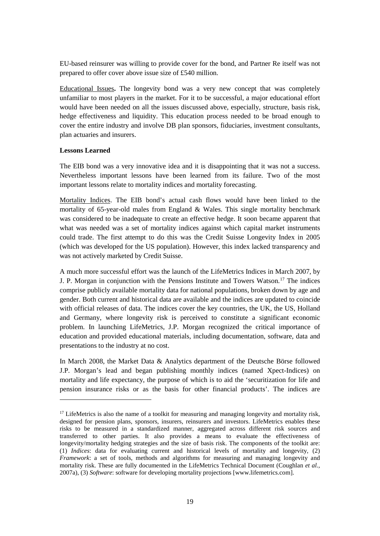EU-based reinsurer was willing to provide cover for the bond, and Partner Re itself was not prepared to offer cover above issue size of £540 million.

Educational Issues**.** The longevity bond was a very new concept that was completely unfamiliar to most players in the market. For it to be successful, a major educational effort would have been needed on all the issues discussed above, especially, structure, basis risk, hedge effectiveness and liquidity. This education process needed to be broad enough to cover the entire industry and involve DB plan sponsors, fiduciaries, investment consultants, plan actuaries and insurers.

### **Lessons Learned**

 $\overline{a}$ 

The EIB bond was a very innovative idea and it is disappointing that it was not a success. Nevertheless important lessons have been learned from its failure. Two of the most important lessons relate to mortality indices and mortality forecasting.

Mortality Indices. The EIB bond's actual cash flows would have been linked to the mortality of 65-year-old males from England & Wales. This single mortality benchmark was considered to be inadequate to create an effective hedge. It soon became apparent that what was needed was a set of mortality indices against which capital market instruments could trade. The first attempt to do this was the Credit Suisse Longevity Index in 2005 (which was developed for the US population). However, this index lacked transparency and was not actively marketed by Credit Suisse.

A much more successful effort was the launch of the LifeMetrics Indices in March 2007, by J. P. Morgan in conjunction with the Pensions Institute and Towers Watson.[17](#page-20-0) The indices comprise publicly available mortality data for national populations, broken down by age and gender. Both current and historical data are available and the indices are updated to coincide with official releases of data. The indices cover the key countries, the UK, the US, Holland and Germany, where longevity risk is perceived to constitute a significant economic problem. In launching LifeMetrics, J.P. Morgan recognized the critical importance of education and provided educational materials, including documentation, software, data and presentations to the industry at no cost.

In March 2008, the Market Data & Analytics department of the Deutsche Börse followed J.P. Morgan's lead and began publishing monthly indices (named Xpect-Indices) on mortality and life expectancy, the purpose of which is to aid the 'securitization for life and pension insurance risks or as the basis for other financial products'. The indices are

<span id="page-20-0"></span><sup>&</sup>lt;sup>17</sup> LifeMetrics is also the name of a toolkit for measuring and managing longevity and mortality risk, designed for pension plans, sponsors, insurers, reinsurers and investors. LifeMetrics enables these risks to be measured in a standardized manner, aggregated across different risk sources and transferred to other parties. It also provides a means to evaluate the effectiveness of longevity/mortality hedging strategies and the size of basis risk. The components of the toolkit are: (1) *Indices*: data for evaluating current and historical levels of mortality and longevity, (2) *Framework*: a set of tools, methods and algorithms for measuring and managing longevity and mortality risk. These are fully documented in the LifeMetrics Technical Document (Coughlan *et al.*, 2007a), (3) *Software*: software for developing mortality projections [www.lifemetrics.com].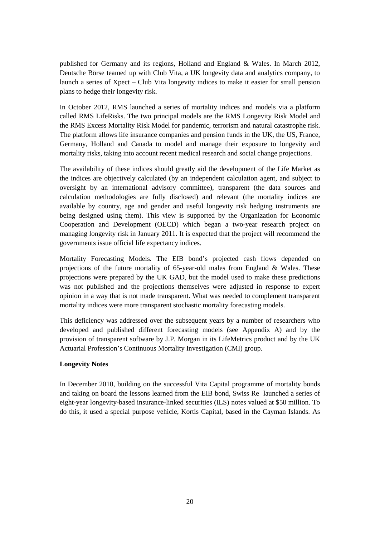published for Germany and its regions, Holland and England & Wales. In March 2012, Deutsche Börse teamed up with Club Vita, a UK longevity data and analytics company, to launch a series of Xpect – Club Vita longevity indices to make it easier for small pension plans to hedge their longevity risk.

In October 2012, RMS launched a series of mortality indices and models via a platform called RMS LifeRisks. The two principal models are the RMS Longevity Risk Model and the RMS Excess Mortality Risk Model for pandemic, terrorism and natural catastrophe risk. The platform allows life insurance companies and pension funds in the UK, the US, France, Germany, Holland and Canada to model and manage their exposure to longevity and mortality risks, taking into account recent medical research and social change projections.

The availability of these indices should greatly aid the development of the Life Market as the indices are objectively calculated (by an independent calculation agent, and subject to oversight by an international advisory committee), transparent (the data sources and calculation methodologies are fully disclosed) and relevant (the mortality indices are available by country, age and gender and useful longevity risk hedging instruments are being designed using them). This view is supported by the Organization for Economic Cooperation and Development (OECD) which began a two-year research project on managing longevity risk in January 2011. It is expected that the project will recommend the governments issue official life expectancy indices.

Mortality Forecasting Models. The EIB bond's projected cash flows depended on projections of the future mortality of  $65$ -year-old males from England & Wales. These projections were prepared by the UK GAD, but the model used to make these predictions was not published and the projections themselves were adjusted in response to expert opinion in a way that is not made transparent. What was needed to complement transparent mortality indices were more transparent stochastic mortality forecasting models.

This deficiency was addressed over the subsequent years by a number of researchers who developed and published different forecasting models (see Appendix A) and by the provision of transparent software by J.P. Morgan in its LifeMetrics product and by the UK Actuarial Profession's Continuous Mortality Investigation (CMI) group.

### **Longevity Notes**

In December 2010, building on the successful Vita Capital programme of mortality bonds and taking on board the lessons learned from the EIB bond, Swiss Re launched a series of eight-year longevity-based insurance-linked securities (ILS) notes valued at \$50 million. To do this, it used a special purpose vehicle, Kortis Capital, based in the Cayman Islands. As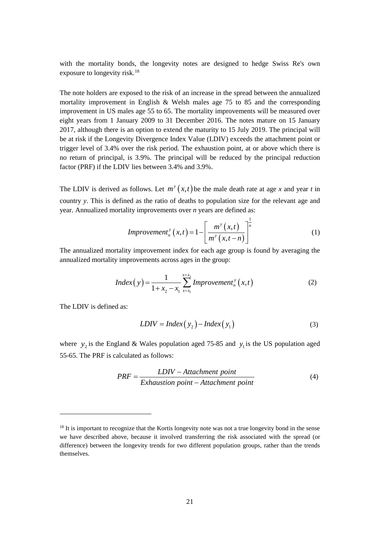with the mortality bonds, the longevity notes are designed to hedge Swiss Re's own exposure to longevity risk.<sup>[18](#page-22-0)</sup>

The note holders are exposed to the risk of an increase in the spread between the annualized mortality improvement in English & Welsh males age 75 to 85 and the corresponding improvement in US males age 55 to 65. The mortality improvements will be measured over eight years from 1 January 2009 to 31 December 2016. The notes mature on 15 January 2017, although there is an option to extend the maturity to 15 July 2019. The principal will be at risk if the Longevity Divergence Index Value (LDIV) exceeds the attachment point or trigger level of 3.4% over the risk period. The exhaustion point, at or above which there is no return of principal, is 3.9%. The principal will be reduced by the principal reduction factor (PRF) if the LDIV lies between 3.4% and 3.9%.

The LDIV is derived as follows. Let  $m^y(x, t)$  be the male death rate at age *x* and year *t* in country *y*. This is defined as the ratio of deaths to population size for the relevant age and year. Annualized mortality improvements over *n* years are defined as:

$$
Improvement_n^{\nu}(x,t) = 1 - \left[ \frac{m^{\nu}(x,t)}{m^{\nu}(x,t-n)} \right]^{\frac{1}{n}}
$$
(1)

The annualized mortality improvement index for each age group is found by averaging the annualized mortality improvements across ages in the group:

$$
Index(y) = \frac{1}{1 + x_2 - x_1} \sum_{x = x_1}^{x = x_2} Important_n^y(x, t)
$$
 (2)

The LDIV is defined as:

 $\ddot{\phantom{a}}$ 

$$
LDIV = Index(y_2) - Index(y_1)
$$
\n(3)

where  $y_2$  is the England & Wales population aged 75-85 and  $y_1$  is the US population aged 55-65. The PRF is calculated as follows:

$$
PRF = \frac{LDIV - Attachment point}{Exhaustion point - Attachment point}
$$
\n(4)

<span id="page-22-0"></span><sup>&</sup>lt;sup>18</sup> It is important to recognize that the Kortis longevity note was not a true longevity bond in the sense we have described above, because it involved transferring the risk associated with the spread (or difference) between the longevity trends for two different population groups, rather than the trends themselves.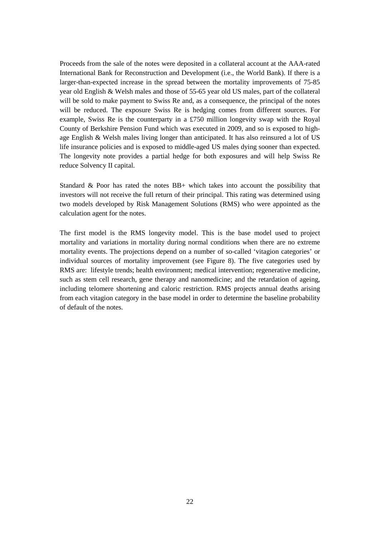Proceeds from the sale of the notes were deposited in a collateral account at the AAA-rated International Bank for Reconstruction and Development (i.e., the World Bank). If there is a larger-than-expected increase in the spread between the mortality improvements of 75-85 year old English & Welsh males and those of 55-65 year old US males, part of the collateral will be sold to make payment to Swiss Re and, as a consequence, the principal of the notes will be reduced. The exposure Swiss Re is hedging comes from different sources. For example, Swiss Re is the counterparty in a £750 million longevity swap with the Royal County of Berkshire Pension Fund which was executed in 2009, and so is exposed to highage English & Welsh males living longer than anticipated. It has also reinsured a lot of US life insurance policies and is exposed to middle-aged US males dying sooner than expected. The longevity note provides a partial hedge for both exposures and will help Swiss Re reduce Solvency II capital.

Standard & Poor has rated the notes BB+ which takes into account the possibility that investors will not receive the full return of their principal. This rating was determined using two models developed by Risk Management Solutions (RMS) who were appointed as the calculation agent for the notes.

The first model is the RMS longevity model. This is the base model used to project mortality and variations in mortality during normal conditions when there are no extreme mortality events. The projections depend on a number of so-called 'vitagion categories' or individual sources of mortality improvement (see Figure 8). The five categories used by RMS are: lifestyle trends; health environment; medical intervention; regenerative medicine, such as stem cell research, gene therapy and nanomedicine; and the retardation of ageing, including telomere shortening and caloric restriction. RMS projects annual deaths arising from each vitagion category in the base model in order to determine the baseline probability of default of the notes.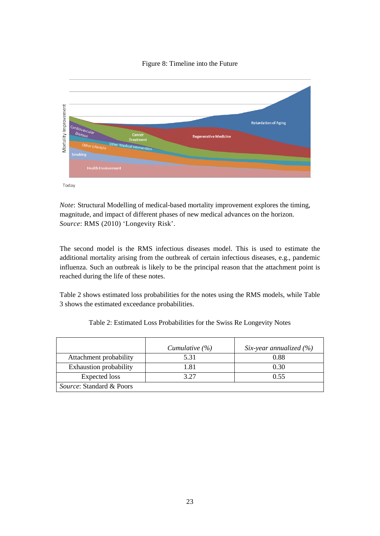### Figure 8: Timeline into the Future



Today

*Note*: Structural Modelling of medical-based mortality improvement explores the timing, magnitude, and impact of different phases of new medical advances on the horizon. *Source*: RMS (2010) 'Longevity Risk'.

The second model is the RMS infectious diseases model. This is used to estimate the additional mortality arising from the outbreak of certain infectious diseases, e.g., pandemic influenza. Such an outbreak is likely to be the principal reason that the attachment point is reached during the life of these notes.

Table 2 shows estimated loss probabilities for the notes using the RMS models, while Table 3 shows the estimated exceedance probabilities.

|                                 | Cumulative $(\% )$ | Six-year annualized $(\%)$ |  |  |  |
|---------------------------------|--------------------|----------------------------|--|--|--|
| Attachment probability          | 5.31               | 0.88                       |  |  |  |
| <b>Exhaustion probability</b>   | 1.81               | 0.30                       |  |  |  |
| <b>Expected</b> loss            | 3.27               | 0.55                       |  |  |  |
| <i>Source:</i> Standard & Poors |                    |                            |  |  |  |

|  | Table 2: Estimated Loss Probabilities for the Swiss Re Longevity Notes |  |  |  |  |  |
|--|------------------------------------------------------------------------|--|--|--|--|--|
|  |                                                                        |  |  |  |  |  |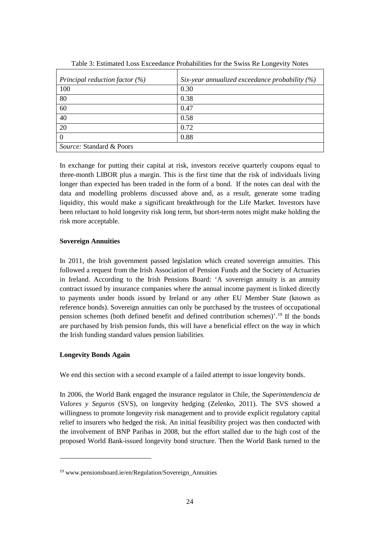| Principal reduction factor $(\%)$ | Six-year annualized exceedance probability $(%)$ |
|-----------------------------------|--------------------------------------------------|
| 100                               | 0.30                                             |
| 80                                | 0.38                                             |
| 60                                | 0.47                                             |
| 40                                | 0.58                                             |
| 20                                | 0.72                                             |
| $\boldsymbol{0}$                  | 0.88                                             |
| Source: Standard & Poors          |                                                  |

Table 3: Estimated Loss Exceedance Probabilities for the Swiss Re Longevity Notes

In exchange for putting their capital at risk, investors receive quarterly coupons equal to three-month LIBOR plus a margin. This is the first time that the risk of individuals living longer than expected has been traded in the form of a bond. If the notes can deal with the data and modelling problems discussed above and, as a result, generate some trading liquidity, this would make a significant breakthrough for the Life Market. Investors have been reluctant to hold longevity risk long term, but short-term notes might make holding the risk more acceptable.

### **Sovereign Annuities**

In 2011, the Irish government passed legislation which created sovereign annuities. This followed a request from the Irish Association of Pension Funds and the Society of Actuaries in Ireland. According to the Irish Pensions Board: 'A sovereign annuity is an annuity contract issued by insurance companies where the annual income payment is linked directly to payments under bonds issued by Ireland or any other EU Member State (known as reference bonds). Sovereign annuities can only be purchased by the trustees of occupational pension schemes (both defined benefit and defined contribution schemes)'.[19](#page-25-0) If the bonds are purchased by Irish pension funds, this will have a beneficial effect on the way in which the Irish funding standard values pension liabilities.

### **Longevity Bonds Again**

 $\overline{a}$ 

We end this section with a second example of a failed attempt to issue longevity bonds.

In 2006, the World Bank engaged the insurance regulator in Chile, the *Superintendencia de Valores y Seguros* (SVS), on longevity hedging (Zelenko, 2011). The SVS showed a willingness to promote longevity risk management and to provide explicit regulatory capital relief to insurers who hedged the risk. An initial feasibility project was then conducted with the involvement of BNP Paribas in 2008, but the effort stalled due to the high cost of the proposed World Bank-issued longevity bond structure. Then the World Bank turned to the

<span id="page-25-0"></span><sup>19</sup> www.pensionsboard.ie/en/Regulation/Sovereign\_Annuities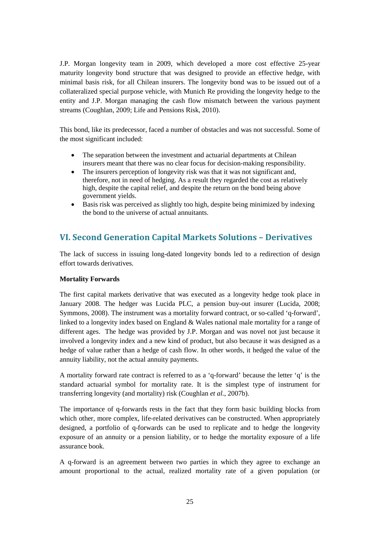J.P. Morgan longevity team in 2009, which developed a more cost effective 25-year maturity longevity bond structure that was designed to provide an effective hedge, with minimal basis risk, for all Chilean insurers. The longevity bond was to be issued out of a collateralized special purpose vehicle, with Munich Re providing the longevity hedge to the entity and J.P. Morgan managing the cash flow mismatch between the various payment streams (Coughlan, 2009; Life and Pensions Risk, 2010).

This bond, like its predecessor, faced a number of obstacles and was not successful. Some of the most significant included:

- The separation between the investment and actuarial departments at Chilean insurers meant that there was no clear focus for decision-making responsibility.
- The insurers perception of longevity risk was that it was not significant and, therefore, not in need of hedging. As a result they regarded the cost as relatively high, despite the capital relief, and despite the return on the bond being above government yields.
- Basis risk was perceived as slightly too high, despite being minimized by indexing the bond to the universe of actual annuitants.

### **VI. Second Generation Capital Markets Solutions – Derivatives**

The lack of success in issuing long-dated longevity bonds led to a redirection of design effort towards derivatives.

### **Mortality Forwards**

The first capital markets derivative that was executed as a longevity hedge took place in January 2008. The hedger was Lucida PLC, a pension buy-out insurer (Lucida, 2008; Symmons, 2008). The instrument was a mortality forward contract, or so-called 'q-forward', linked to a longevity index based on England & Wales national male mortality for a range of different ages. The hedge was provided by J.P. Morgan and was novel not just because it involved a longevity index and a new kind of product, but also because it was designed as a hedge of value rather than a hedge of cash flow. In other words, it hedged the value of the annuity liability, not the actual annuity payments.

A mortality forward rate contract is referred to as a 'q-forward' because the letter 'q' is the standard actuarial symbol for mortality rate. It is the simplest type of instrument for transferring longevity (and mortality) risk (Coughlan *et al.*, 2007b).

The importance of q-forwards rests in the fact that they form basic building blocks from which other, more complex, life-related derivatives can be constructed. When appropriately designed, a portfolio of q-forwards can be used to replicate and to hedge the longevity exposure of an annuity or a pension liability, or to hedge the mortality exposure of a life assurance book.

A q-forward is an agreement between two parties in which they agree to exchange an amount proportional to the actual, realized mortality rate of a given population (or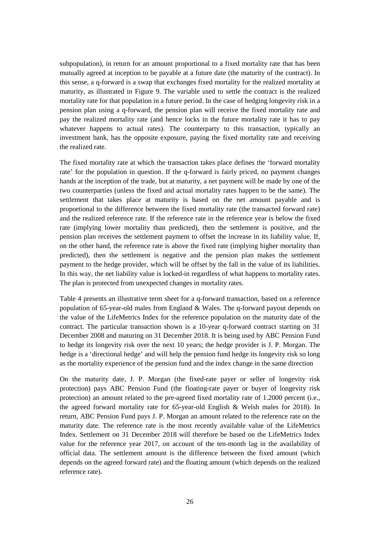subpopulation), in return for an amount proportional to a fixed mortality rate that has been mutually agreed at inception to be payable at a future date (the maturity of the contract). In this sense, a q-forward is a swap that exchanges fixed mortality for the realized mortality at maturity, as illustrated in Figure 9. The variable used to settle the contract is the realized mortality rate for that population in a future period. In the case of hedging longevity risk in a pension plan using a q-forward, the pension plan will receive the fixed mortality rate and pay the realized mortality rate (and hence locks in the future mortality rate it has to pay whatever happens to actual rates). The counterparty to this transaction, typically an investment bank, has the opposite exposure, paying the fixed mortality rate and receiving the realized rate.

The fixed mortality rate at which the transaction takes place defines the 'forward mortality rate' for the population in question. If the q-forward is fairly priced, no payment changes hands at the inception of the trade, but at maturity, a net payment will be made by one of the two counterparties (unless the fixed and actual mortality rates happen to be the same). The settlement that takes place at maturity is based on the net amount payable and is proportional to the difference between the fixed mortality rate (the transacted forward rate) and the realized reference rate. If the reference rate in the reference year is below the fixed rate (implying lower mortality than predicted), then the settlement is positive, and the pension plan receives the settlement payment to offset the increase in its liability value. If, on the other hand, the reference rate is above the fixed rate (implying higher mortality than predicted), then the settlement is negative and the pension plan makes the settlement payment to the hedge provider, which will be offset by the fall in the value of its liabilities. In this way, the net liability value is locked-in regardless of what happens to mortality rates. The plan is protected from unexpected changes in mortality rates.

Table 4 presents an illustrative term sheet for a q-forward transaction, based on a reference population of 65-year-old males from England & Wales. The q-forward payout depends on the value of the LifeMetrics Index for the reference population on the maturity date of the contract. The particular transaction shown is a 10-year q-forward contract starting on 31 December 2008 and maturing on 31 December 2018. It is being used by ABC Pension Fund to hedge its longevity risk over the next 10 years; the hedge provider is J. P. Morgan. The hedge is a 'directional hedge' and will help the pension fund hedge its longevity risk so long as the mortality experience of the pension fund and the index change in the same direction

On the maturity date, J. P. Morgan (the fixed-rate payer or seller of longevity risk protection) pays ABC Pension Fund (the floating-rate payer or buyer of longevity risk protection) an amount related to the pre-agreed fixed mortality rate of 1.2000 percent (i.e., the agreed forward mortality rate for 65-year-old English & Welsh males for 2018). In return, ABC Pension Fund pays J. P. Morgan an amount related to the reference rate on the maturity date. The reference rate is the most recently available value of the LifeMetrics Index. Settlement on 31 December 2018 will therefore be based on the LifeMetrics Index value for the reference year 2017, on account of the ten-month lag in the availability of official data. The settlement amount is the difference between the fixed amount (which depends on the agreed forward rate) and the floating amount (which depends on the realized reference rate).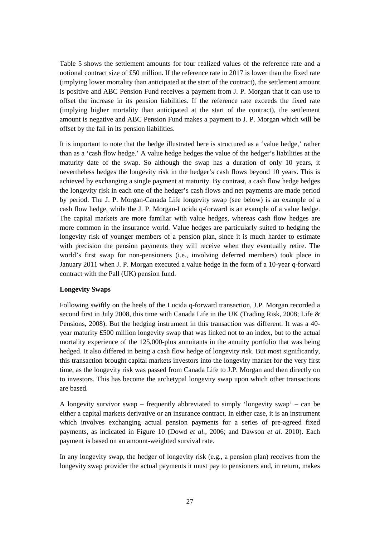Table 5 shows the settlement amounts for four realized values of the reference rate and a notional contract size of £50 million. If the reference rate in 2017 is lower than the fixed rate (implying lower mortality than anticipated at the start of the contract), the settlement amount is positive and ABC Pension Fund receives a payment from J. P. Morgan that it can use to offset the increase in its pension liabilities. If the reference rate exceeds the fixed rate (implying higher mortality than anticipated at the start of the contract), the settlement amount is negative and ABC Pension Fund makes a payment to J. P. Morgan which will be offset by the fall in its pension liabilities.

It is important to note that the hedge illustrated here is structured as a 'value hedge,' rather than as a 'cash flow hedge.' A value hedge hedges the value of the hedger's liabilities at the maturity date of the swap. So although the swap has a duration of only 10 years, it nevertheless hedges the longevity risk in the hedger's cash flows beyond 10 years. This is achieved by exchanging a single payment at maturity. By contrast, a cash flow hedge hedges the longevity risk in each one of the hedger's cash flows and net payments are made period by period. The J. P. Morgan-Canada Life longevity swap (see below) is an example of a cash flow hedge, while the J. P. Morgan-Lucida q-forward is an example of a value hedge. The capital markets are more familiar with value hedges, whereas cash flow hedges are more common in the insurance world. Value hedges are particularly suited to hedging the longevity risk of younger members of a pension plan, since it is much harder to estimate with precision the pension payments they will receive when they eventually retire. The world's first swap for non-pensioners (i.e., involving deferred members) took place in January 2011 when J. P. Morgan executed a value hedge in the form of a 10-year q-forward contract with the Pall (UK) pension fund.

### **Longevity Swaps**

Following swiftly on the heels of the Lucida q-forward transaction, J.P. Morgan recorded a second first in July 2008, this time with Canada Life in the UK (Trading Risk, 2008; Life & Pensions, 2008). But the hedging instrument in this transaction was different. It was a 40 year maturity £500 million longevity swap that was linked not to an index, but to the actual mortality experience of the 125,000-plus annuitants in the annuity portfolio that was being hedged. It also differed in being a cash flow hedge of longevity risk. But most significantly, this transaction brought capital markets investors into the longevity market for the very first time, as the longevity risk was passed from Canada Life to J.P. Morgan and then directly on to investors. This has become the archetypal longevity swap upon which other transactions are based.

A longevity survivor swap – frequently abbreviated to simply 'longevity swap' – can be either a capital markets derivative or an insurance contract. In either case, it is an instrument which involves exchanging actual pension payments for a series of pre-agreed fixed payments, as indicated in Figure 10 (Dowd *et al.*, 2006; and Dawson *et al.* 2010). Each payment is based on an amount-weighted survival rate.

In any longevity swap, the hedger of longevity risk (e.g., a pension plan) receives from the longevity swap provider the actual payments it must pay to pensioners and, in return, makes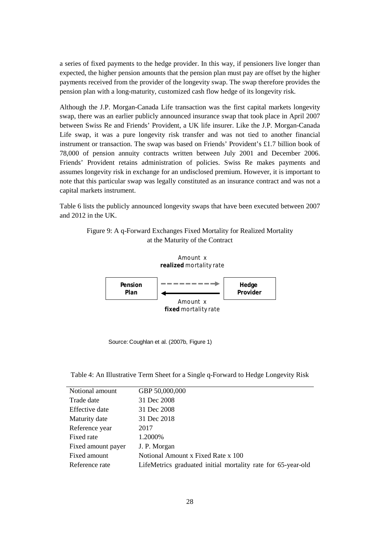a series of fixed payments to the hedge provider. In this way, if pensioners live longer than expected, the higher pension amounts that the pension plan must pay are offset by the higher payments received from the provider of the longevity swap. The swap therefore provides the pension plan with a long-maturity, customized cash flow hedge of its longevity risk.

Although the J.P. Morgan-Canada Life transaction was the first capital markets longevity swap, there was an earlier publicly announced insurance swap that took place in April 2007 between Swiss Re and Friends' Provident, a UK life insurer. Like the J.P. Morgan-Canada Life swap, it was a pure longevity risk transfer and was not tied to another financial instrument or transaction. The swap was based on Friends' Provident's £1.7 billion book of 78,000 of pension annuity contracts written between July 2001 and December 2006. Friends' Provident retains administration of policies. Swiss Re makes payments and assumes longevity risk in exchange for an undisclosed premium. However, it is important to note that this particular swap was legally constituted as an insurance contract and was not a capital markets instrument.

Table 6 lists the publicly announced longevity swaps that have been executed between 2007 and 2012 in the UK.





Source: Coughlan et al. (2007b, Figure 1)

Table 4: An Illustrative Term Sheet for a Single q-Forward to Hedge Longevity Risk

| Notional amount    | GBP 50,000,000                                               |
|--------------------|--------------------------------------------------------------|
| Trade date         | 31 Dec 2008                                                  |
| Effective date     | 31 Dec 2008                                                  |
| Maturity date      | 31 Dec 2018                                                  |
| Reference year     | 2017                                                         |
| Fixed rate         | 1.2000%                                                      |
| Fixed amount payer | J. P. Morgan                                                 |
| Fixed amount       | Notional Amount x Fixed Rate x 100                           |
| Reference rate     | LifeMetrics graduated initial mortality rate for 65-year-old |
|                    |                                                              |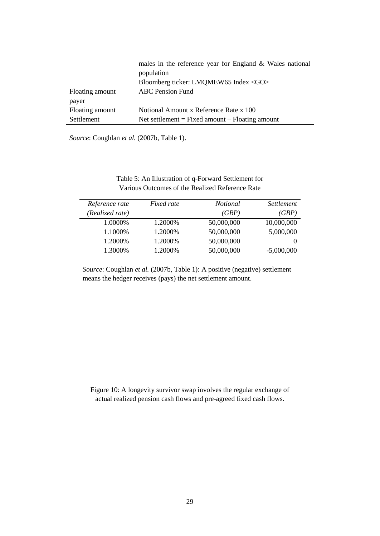|                 | males in the reference year for England $\&$ Wales national |
|-----------------|-------------------------------------------------------------|
|                 | population                                                  |
|                 | Bloomberg ticker: LMQMEW65 Index <go></go>                  |
| Floating amount | <b>ABC</b> Pension Fund                                     |
| payer           |                                                             |
| Floating amount | Notional Amount x Reference Rate x 100                      |
| Settlement      | Net settlement $=$ Fixed amount $-$ Floating amount         |

*Source*: Coughlan *et al.* (2007b, Table 1).

Table 5: An Illustration of q-Forward Settlement for Various Outcomes of the Realized Reference Rate

| Reference rate  | Fixed rate | <i>Notional</i> | <i>Settlement</i> |
|-----------------|------------|-----------------|-------------------|
| (Realized rate) |            | (GBP)           | (GBP)             |
| 1.0000%         | 1.2000\%   | 50,000,000      | 10,000,000        |
| 1.1000\%        | 1.2000\%   | 50,000,000      | 5,000,000         |
| 1.2000%         | 1.2000\%   | 50,000,000      |                   |
| 1.3000%         | 1.2000%    | 50,000,000      | $-5,000,000$      |

*Source*: Coughlan *et al.* (2007b, Table 1): A positive (negative) settlement means the hedger receives (pays) the net settlement amount.

Figure 10: A longevity survivor swap involves the regular exchange of actual realized pension cash flows and pre-agreed fixed cash flows.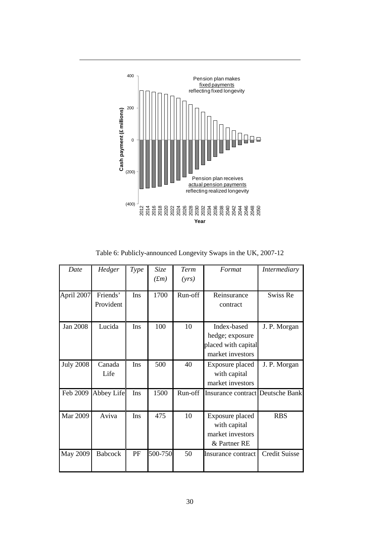

Table 6: Publicly-announced Longevity Swaps in the UK, 2007-12

| Date             | Hedger                | <b>Type</b> | Size<br>(fm) | Term<br>(yrs) | Format                                                                    | Intermediary         |
|------------------|-----------------------|-------------|--------------|---------------|---------------------------------------------------------------------------|----------------------|
| April 2007       | Friends'<br>Provident | <b>Ins</b>  | 1700         | Run-off       | Reinsurance<br>contract                                                   | Swiss Re             |
| <b>Jan 2008</b>  | Lucida                | Ins         | 100          | 10            | Index-based<br>hedge; exposure<br>placed with capital<br>market investors | J. P. Morgan         |
| <b>July 2008</b> | Canada<br>Life        | Ins         | 500          | 40            | Exposure placed<br>with capital<br>market investors                       | J. P. Morgan         |
| Feb 2009         | Abbey Life            | Ins         | 1500         | Run-off       | Insurance contract Deutsche Bank                                          |                      |
| Mar 2009         | Aviva                 | Ins         | 475          | 10            | Exposure placed<br>with capital<br>market investors<br>& Partner RE       | <b>RBS</b>           |
| May 2009         | <b>Babcock</b>        | PF          | 500-750      | 50            | Insurance contract                                                        | <b>Credit Suisse</b> |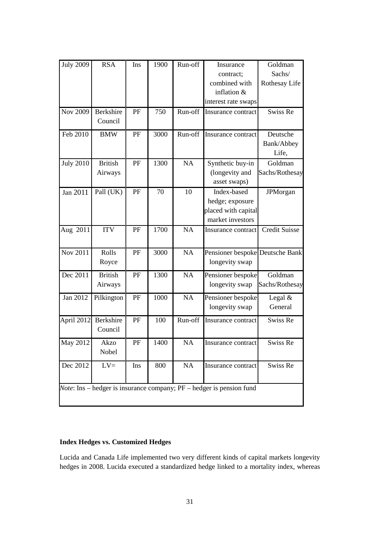| <b>July 2009</b> | <b>RSA</b>     | Ins | 1900 | Run-off   | Insurance                                                                      | Goldman        |
|------------------|----------------|-----|------|-----------|--------------------------------------------------------------------------------|----------------|
|                  |                |     |      |           | contract;                                                                      | Sachs/         |
|                  |                |     |      |           | combined with                                                                  | Rothesay Life  |
|                  |                |     |      |           | inflation &                                                                    |                |
|                  |                |     |      |           | interest rate swaps                                                            |                |
| <b>Nov 2009</b>  | Berkshire      | PF  | 750  | Run-off   | Insurance contract                                                             | Swiss Re       |
|                  | Council        |     |      |           |                                                                                |                |
| Feb 2010         | <b>BMW</b>     | PF  | 3000 | Run-off   | Insurance contract                                                             | Deutsche       |
|                  |                |     |      |           |                                                                                | Bank/Abbey     |
|                  |                |     |      |           |                                                                                | Life,          |
| <b>July 2010</b> | <b>British</b> | PF  | 1300 | NA        | Synthetic buy-in                                                               | Goldman        |
|                  | Airways        |     |      |           | (longevity and                                                                 | Sachs/Rothesay |
|                  |                |     |      |           | asset swaps)                                                                   |                |
| Jan 2011         | Pall (UK)      | PF  | 70   | 10        | Index-based                                                                    | JPMorgan       |
|                  |                |     |      |           | hedge; exposure                                                                |                |
|                  |                |     |      |           | placed with capital                                                            |                |
|                  |                |     |      |           | market investors                                                               |                |
| Aug 2011         | <b>ITV</b>     | PF  | 1700 | <b>NA</b> | Insurance contract                                                             | Credit Suisse  |
|                  |                |     |      |           |                                                                                |                |
| Nov 2011         | Rolls          | PF  | 3000 | <b>NA</b> | Pensioner bespoke Deutsche Bank                                                |                |
|                  | Royce          |     |      |           | longevity swap                                                                 |                |
| Dec 2011         | <b>British</b> | PF  | 1300 | <b>NA</b> | Pensioner bespoke                                                              | Goldman        |
|                  | Airways        |     |      |           | longevity swap                                                                 | Sachs/Rothesay |
| Jan 2012         | Pilkington     | PF  | 1000 | <b>NA</b> | Pensioner bespoke                                                              | Legal $&$      |
|                  |                |     |      |           | longevity swap                                                                 | General        |
| April 2012       | Berkshire      | PF  | 100  | Run-off   | Insurance contract                                                             | Swiss Re       |
|                  | Council        |     |      |           |                                                                                |                |
| May 2012         | Akzo           | PF  | 1400 | <b>NA</b> | Insurance contract                                                             | Swiss Re       |
|                  | Nobel          |     |      |           |                                                                                |                |
| Dec 2012         | $LV=$          | Ins | 800  | NA        | Insurance contract                                                             | Swiss Re       |
|                  |                |     |      |           |                                                                                |                |
|                  |                |     |      |           | <i>Note</i> : Ins – hedger is insurance company; $PF$ – hedger is pension fund |                |
|                  |                |     |      |           |                                                                                |                |
|                  |                |     |      |           |                                                                                |                |

### **Index Hedges vs. Customized Hedges**

Lucida and Canada Life implemented two very different kinds of capital markets longevity hedges in 2008. Lucida executed a standardized hedge linked to a mortality index, whereas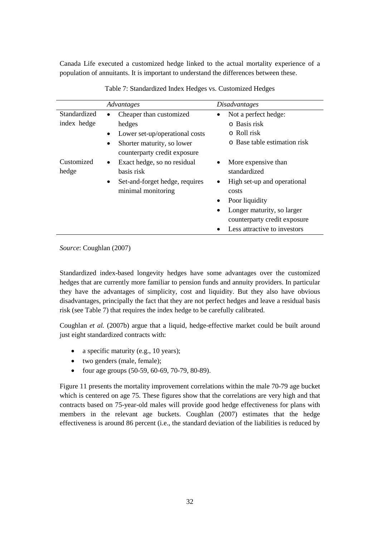Canada Life executed a customized hedge linked to the actual mortality experience of a population of annuitants. It is important to understand the differences between these.

|              | Advantages                                                 | <b>Disadvantages</b>                                                    |
|--------------|------------------------------------------------------------|-------------------------------------------------------------------------|
| Standardized | Cheaper than customized<br>$\bullet$                       | Not a perfect hedge:<br>$\bullet$                                       |
| index hedge  | hedges                                                     | o Basis risk                                                            |
|              | Lower set-up/operational costs<br>$\bullet$                | $\circ$ Roll risk                                                       |
|              | Shorter maturity, so lower<br>counterparty credit exposure | o Base table estimation risk                                            |
| Customized   | Exact hedge, so no residual<br>$\bullet$                   | More expensive than                                                     |
| hedge        | basis risk                                                 | standardized                                                            |
|              | Set-and-forget hedge, requires<br>٠<br>minimal monitoring  | High set-up and operational<br>costs                                    |
|              |                                                            | Poor liquidity<br>$\bullet$                                             |
|              |                                                            | Longer maturity, so larger<br>$\bullet$<br>counterparty credit exposure |
|              |                                                            | Less attractive to investors                                            |

Table 7: Standardized Index Hedges vs. Customized Hedges

*Source*: Coughlan (2007)

Standardized index-based longevity hedges have some advantages over the customized hedges that are currently more familiar to pension funds and annuity providers. In particular they have the advantages of simplicity, cost and liquidity. But they also have obvious disadvantages, principally the fact that they are not perfect hedges and leave a residual basis risk (see Table 7) that requires the index hedge to be carefully calibrated.

Coughlan *et al.* (2007b) argue that a liquid, hedge-effective market could be built around just eight standardized contracts with:

- a specific maturity (e.g., 10 years);
- two genders (male, female);
- four age groups (50-59, 60-69, 70-79, 80-89).

Figure 11 presents the mortality improvement correlations within the male 70-79 age bucket which is centered on age 75. These figures show that the correlations are very high and that contracts based on 75-year-old males will provide good hedge effectiveness for plans with members in the relevant age buckets. Coughlan (2007) estimates that the hedge effectiveness is around 86 percent (i.e., the standard deviation of the liabilities is reduced by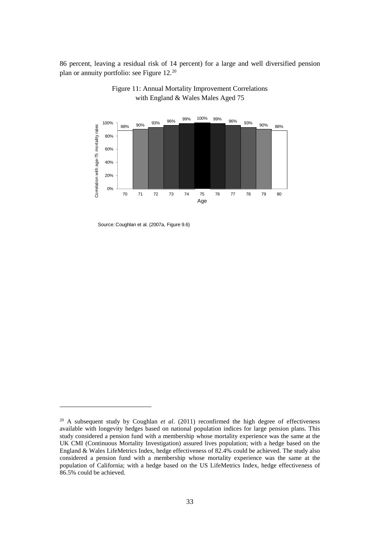86 percent, leaving a residual risk of 14 percent) for a large and well diversified pension plan or annuity portfolio: see Figure 12.<sup>[20](#page-34-0)</sup>



### Figure 11: Annual Mortality Improvement Correlations with England & Wales Males Aged 75

Source: Coughlan et al. (2007a, Figure 9.6)

 $\ddot{\phantom{a}}$ 

<span id="page-34-0"></span><sup>20</sup> A subsequent study by Coughlan *et al*. (2011) reconfirmed the high degree of effectiveness available with longevity hedges based on national population indices for large pension plans. This study considered a pension fund with a membership whose mortality experience was the same at the UK CMI (Continuous Mortality Investigation) assured lives population; with a hedge based on the England & Wales LifeMetrics Index, hedge effectiveness of 82.4% could be achieved. The study also considered a pension fund with a membership whose mortality experience was the same at the population of California; with a hedge based on the US LifeMetrics Index, hedge effectiveness of 86.5% could be achieved.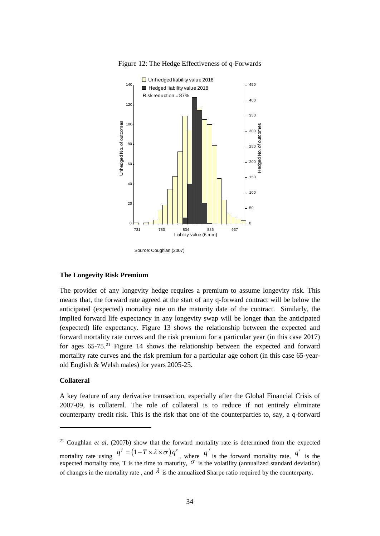

Figure 12: The Hedge Effectiveness of q-Forwards

Source: Coughlan (2007)

#### **The Longevity Risk Premium**

The provider of any longevity hedge requires a premium to assume longevity risk. This means that, the forward rate agreed at the start of any q-forward contract will be below the anticipated (expected) mortality rate on the maturity date of the contract. Similarly, the implied forward life expectancy in any longevity swap will be longer than the anticipated (expected) life expectancy. Figure 13 shows the relationship between the expected and forward mortality rate curves and the risk premium for a particular year (in this case 2017) for ages  $65-75$ <sup>[21](#page-35-0)</sup> Figure 14 shows the relationship between the expected and forward mortality rate curves and the risk premium for a particular age cohort (in this case 65-yearold English & Welsh males) for years 2005-25.

#### **Collateral**

 $\overline{a}$ 

A key feature of any derivative transaction, especially after the Global Financial Crisis of 2007-09, is collateral. The role of collateral is to reduce if not entirely eliminate counterparty credit risk. This is the risk that one of the counterparties to, say, a q-forward

<span id="page-35-0"></span><sup>21</sup> Coughlan *et al*. (2007b) show that the forward mortality rate is determined from the expected mortality rate using  $q^f = (1 - T \times \lambda \times \sigma) q^e$ , where  $q^f$  is the forward mortality rate,  $q^e$  is the expected mortality rate, T is the time to maturity,  $\sigma$  is the volatility (annualized standard deviation) of changes in the mortality rate, and  $\lambda$  is the annualized Sharpe ratio required by the counterparty.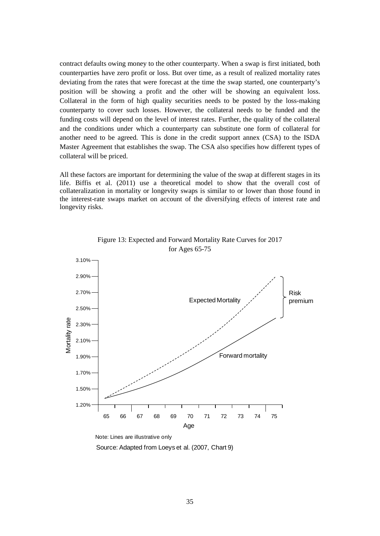contract defaults owing money to the other counterparty. When a swap is first initiated, both counterparties have zero profit or loss. But over time, as a result of realized mortality rates deviating from the rates that were forecast at the time the swap started, one counterparty's position will be showing a profit and the other will be showing an equivalent loss. Collateral in the form of high quality securities needs to be posted by the loss-making counterparty to cover such losses. However, the collateral needs to be funded and the funding costs will depend on the level of interest rates. Further, the quality of the collateral and the conditions under which a counterparty can substitute one form of collateral for another need to be agreed. This is done in the credit support annex (CSA) to the ISDA Master Agreement that establishes the swap. The CSA also specifies how different types of collateral will be priced.

All these factors are important for determining the value of the swap at different stages in its life. Biffis et al. (2011) use a theoretical model to show that the overall cost of collateralization in mortality or longevity swaps is similar to or lower than those found in the interest-rate swaps market on account of the diversifying effects of interest rate and longevity risks.



Figure 13: Expected and Forward Mortality Rate Curves for 2017 for Ages 65-75

Source: Adapted from Loeys et al. (2007, Chart 9)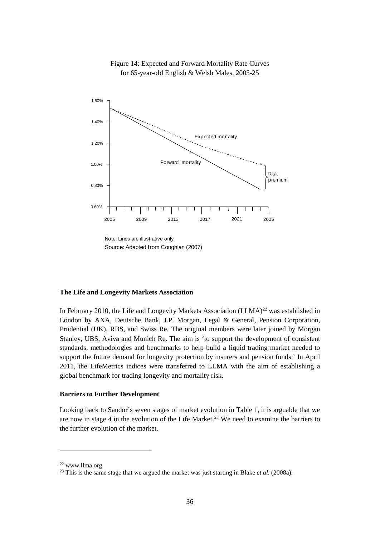

Figure 14: Expected and Forward Mortality Rate Curves for 65-year-old English & Welsh Males, 2005-25

Note: Lines are illustrative only Source: Adapted from Coughlan (2007)

### **The Life and Longevity Markets Association**

In February 2010, the Life and Longevity Markets Association  $(LLMA)^{22}$  $(LLMA)^{22}$  $(LLMA)^{22}$  was established in London by AXA, Deutsche Bank, J.P. Morgan, Legal & General, Pension Corporation, Prudential (UK), RBS, and Swiss Re. The original members were later joined by Morgan Stanley, UBS, Aviva and Munich Re. The aim is 'to support the development of consistent standards, methodologies and benchmarks to help build a liquid trading market needed to support the future demand for longevity protection by insurers and pension funds.' In April 2011, the LifeMetrics indices were transferred to LLMA with the aim of establishing a global benchmark for trading longevity and mortality risk.

#### **Barriers to Further Development**

Looking back to Sandor's seven stages of market evolution in Table 1, it is arguable that we are now in stage 4 in the evolution of the Life Market.<sup>[23](#page-37-1)</sup> We need to examine the barriers to the further evolution of the market.

 $\ddot{\phantom{a}}$ 

<span id="page-37-0"></span><sup>22</sup> www.llma.org

<span id="page-37-1"></span><sup>&</sup>lt;sup>23</sup> This is the same stage that we argued the market was just starting in Blake *et al.* (2008a).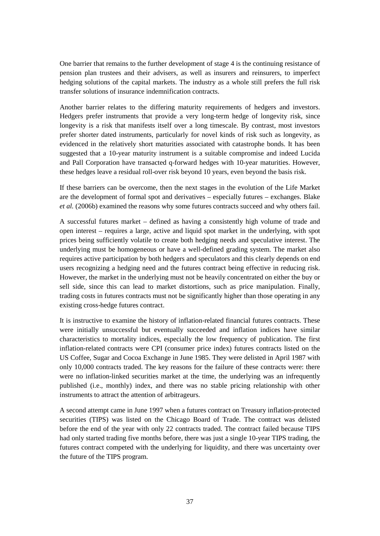One barrier that remains to the further development of stage 4 is the continuing resistance of pension plan trustees and their advisers, as well as insurers and reinsurers, to imperfect hedging solutions of the capital markets. The industry as a whole still prefers the full risk transfer solutions of insurance indemnification contracts.

Another barrier relates to the differing maturity requirements of hedgers and investors. Hedgers prefer instruments that provide a very long-term hedge of longevity risk, since longevity is a risk that manifests itself over a long timescale. By contrast, most investors prefer shorter dated instruments, particularly for novel kinds of risk such as longevity, as evidenced in the relatively short maturities associated with catastrophe bonds. It has been suggested that a 10-year maturity instrument is a suitable compromise and indeed Lucida and Pall Corporation have transacted q-forward hedges with 10-year maturities. However, these hedges leave a residual roll-over risk beyond 10 years, even beyond the basis risk.

If these barriers can be overcome, then the next stages in the evolution of the Life Market are the development of formal spot and derivatives – especially futures – exchanges. Blake *et al.* (2006b) examined the reasons why some futures contracts succeed and why others fail.

A successful futures market – defined as having a consistently high volume of trade and open interest – requires a large, active and liquid spot market in the underlying, with spot prices being sufficiently volatile to create both hedging needs and speculative interest. The underlying must be homogeneous or have a well-defined grading system. The market also requires active participation by both hedgers and speculators and this clearly depends on end users recognizing a hedging need and the futures contract being effective in reducing risk. However, the market in the underlying must not be heavily concentrated on either the buy or sell side, since this can lead to market distortions, such as price manipulation. Finally, trading costs in futures contracts must not be significantly higher than those operating in any existing cross-hedge futures contract.

It is instructive to examine the history of inflation-related financial futures contracts. These were initially unsuccessful but eventually succeeded and inflation indices have similar characteristics to mortality indices, especially the low frequency of publication. The first inflation-related contracts were CPI (consumer price index) futures contracts listed on the US Coffee, Sugar and Cocoa Exchange in June 1985. They were delisted in April 1987 with only 10,000 contracts traded. The key reasons for the failure of these contracts were: there were no inflation-linked securities market at the time, the underlying was an infrequently published (i.e., monthly) index, and there was no stable pricing relationship with other instruments to attract the attention of arbitrageurs.

A second attempt came in June 1997 when a futures contract on Treasury inflation-protected securities (TIPS) was listed on the Chicago Board of Trade. The contract was delisted before the end of the year with only 22 contracts traded. The contract failed because TIPS had only started trading five months before, there was just a single 10-year TIPS trading, the futures contract competed with the underlying for liquidity, and there was uncertainty over the future of the TIPS program.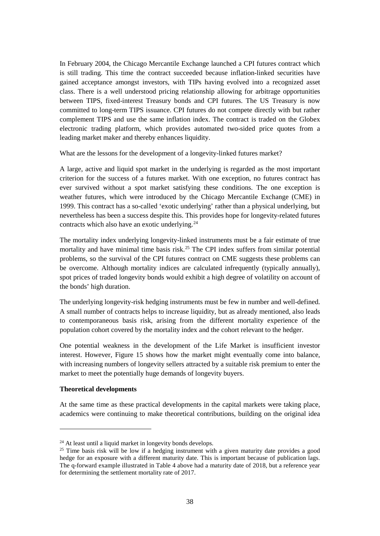In February 2004, the Chicago Mercantile Exchange launched a CPI futures contract which is still trading. This time the contract succeeded because inflation-linked securities have gained acceptance amongst investors, with TIPs having evolved into a recognized asset class. There is a well understood pricing relationship allowing for arbitrage opportunities between TIPS, fixed-interest Treasury bonds and CPI futures. The US Treasury is now committed to long-term TIPS issuance. CPI futures do not compete directly with but rather complement TIPS and use the same inflation index. The contract is traded on the Globex electronic trading platform, which provides automated two-sided price quotes from a leading market maker and thereby enhances liquidity.

What are the lessons for the development of a longevity-linked futures market?

A large, active and liquid spot market in the underlying is regarded as the most important criterion for the success of a futures market. With one exception, no futures contract has ever survived without a spot market satisfying these conditions. The one exception is weather futures, which were introduced by the Chicago Mercantile Exchange (CME) in 1999. This contract has a so-called 'exotic underlying' rather than a physical underlying, but nevertheless has been a success despite this. This provides hope for longevity-related futures contracts which also have an exotic underlying.<sup>[24](#page-39-0)</sup>

The mortality index underlying longevity-linked instruments must be a fair estimate of true mortality and have minimal time basis risk.<sup>[25](#page-39-1)</sup> The CPI index suffers from similar potential problems, so the survival of the CPI futures contract on CME suggests these problems can be overcome. Although mortality indices are calculated infrequently (typically annually), spot prices of traded longevity bonds would exhibit a high degree of volatility on account of the bonds' high duration.

The underlying longevity-risk hedging instruments must be few in number and well-defined. A small number of contracts helps to increase liquidity, but as already mentioned, also leads to contemporaneous basis risk, arising from the different mortality experience of the population cohort covered by the mortality index and the cohort relevant to the hedger.

One potential weakness in the development of the Life Market is insufficient investor interest. However, Figure 15 shows how the market might eventually come into balance, with increasing numbers of longevity sellers attracted by a suitable risk premium to enter the market to meet the potentially huge demands of longevity buyers.

### **Theoretical developments**

 $\ddot{\phantom{a}}$ 

At the same time as these practical developments in the capital markets were taking place, academics were continuing to make theoretical contributions, building on the original idea

<span id="page-39-0"></span> $24$  At least until a liquid market in longevity bonds develops.

<span id="page-39-1"></span><sup>&</sup>lt;sup>25</sup> Time basis risk will be low if a hedging instrument with a given maturity date provides a good hedge for an exposure with a different maturity date. This is important because of publication lags. The q-forward example illustrated in Table 4 above had a maturity date of 2018, but a reference year for determining the settlement mortality rate of 2017.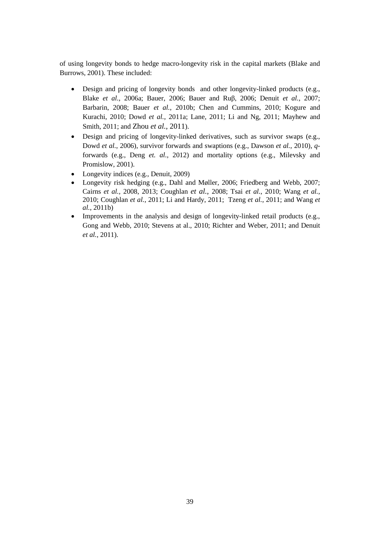of using longevity bonds to hedge macro-longevity risk in the capital markets (Blake and Burrows, 2001). These included:

- Design and pricing of longevity bonds and other longevity-linked products (e.g., Blake *et al.*, 2006a; Bauer, 2006; Bauer and Ruβ, 2006; Denuit *et al.*, 2007; Barbarin, 2008; Bauer *et al.*, 2010b; Chen and Cummins, 2010; Kogure and Kurachi, 2010; Dowd *et al.*, 2011a; Lane, 2011; Li and Ng, 2011; Mayhew and Smith, 2011; and Zhou *et al.*, 2011).
- Design and pricing of longevity-linked derivatives, such as survivor swaps (e.g., Dowd *et al.*, 2006), survivor forwards and swaptions (e.g., Dawson *et al.*, 2010), *q*forwards (e.g., Deng *et. al.,* 2012) and mortality options (e.g., Milevsky and Promislow, 2001).
- Longevity indices (e.g., Denuit, 2009)
- Longevity risk hedging (e.g., Dahl and Møller, 2006; Friedberg and Webb, 2007; Cairns *et al.,* 2008, 2013; Coughlan *et al.*, 2008; Tsai *et al.*, 2010; Wang *et al.*, 2010; Coughlan *et al.*, 2011; Li and Hardy, 2011; Tzeng *et al.*, 2011; and Wang *et al.*, 2011b)
- Improvements in the analysis and design of longevity-linked retail products (e.g., Gong and Webb, 2010; Stevens at al., 2010; Richter and Weber, 2011; and Denuit *et al.*, 2011).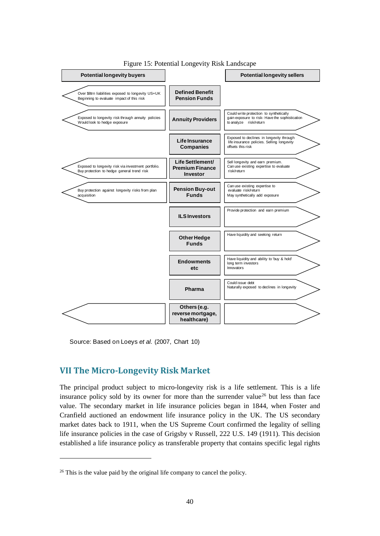

Figure 15: Potential Longevity Risk Landscape

Source: Based on Loeys *et al.* (2007, Chart 10)

### **VII The Micro-Longevity Risk Market**

 $\overline{a}$ 

The principal product subject to micro-longevity risk is a life settlement. This is a life insurance policy sold by its owner for more than the surrender value<sup>26</sup> but less than face value. The secondary market in life insurance policies began in 1844, when Foster and Cranfield auctioned an endowment life insurance policy in the UK. The US secondary market dates back to 1911, when the US Supreme Court confirmed the legality of selling life insurance policies in the case of Grigsby v Russell, 222 U.S. 149 (1911). This decision established a life insurance policy as transferable property that contains specific legal rights

<span id="page-41-0"></span><sup>&</sup>lt;sup>26</sup> This is the value paid by the original life company to cancel the policy.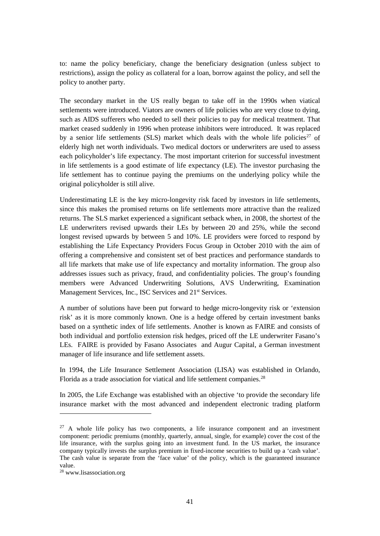to: name the policy beneficiary, change the beneficiary designation (unless subject to restrictions), assign the policy as collateral for a loan, borrow against the policy, and sell the policy to another party.

The secondary market in the US really began to take off in the 1990s when viatical settlements were introduced. Viators are owners of life policies who are very close to dying, such as AIDS sufferers who needed to sell their policies to pay for medical treatment. That market ceased suddenly in 1996 when protease inhibitors were introduced. It was replaced by a senior life settlements (SLS) market which deals with the whole life policies<sup>[27](#page-42-0)</sup> of elderly high net worth individuals. Two medical doctors or underwriters are used to assess each policyholder's life expectancy. The most important criterion for successful investment in life settlements is a good estimate of life expectancy (LE). The investor purchasing the life settlement has to continue paying the premiums on the underlying policy while the original policyholder is still alive.

Underestimating LE is the key micro-longevity risk faced by investors in life settlements, since this makes the promised returns on life settlements more attractive than the realized returns. The SLS market experienced a significant setback when, in 2008, the shortest of the LE underwriters revised upwards their LEs by between 20 and 25%, while the second longest revised upwards by between 5 and 10%. LE providers were forced to respond by establishing the Life Expectancy Providers Focus Group in October 2010 with the aim of offering a comprehensive and consistent set of best practices and performance standards to all life markets that make use of life expectancy and mortality information. The group also addresses issues such as privacy, fraud, and confidentiality policies. The group's founding members were Advanced Underwriting Solutions, AVS Underwriting, Examination Management Services, Inc., ISC Services and 21<sup>st</sup> Services.

A number of solutions have been put forward to hedge micro-longevity risk or 'extension risk' as it is more commonly known. One is a hedge offered by certain investment banks based on a synthetic index of life settlements. Another is known as FAIRE and consists of both individual and portfolio extension risk hedges, priced off the LE underwriter Fasano's LEs. FAIRE is provided by Fasano Associates and Augur Capital, a German investment manager of life insurance and life settlement assets.

In 1994, the Life Insurance Settlement Association (LISA) was established in Orlando, Florida as a trade association for viatical and [life settlement](http://en.wikipedia.org/wiki/Life_settlement) companies.<sup>[28](#page-42-1)</sup>

In 2005, the Life Exchange was established with an objective 'to provide the secondary life insurance market with the most advanced and independent electronic trading platform

<span id="page-42-0"></span> $27$  A whole life policy has two components, a life insurance component and an investment component: periodic premiums (monthly, quarterly, annual, single, for example) cover the cost of the life insurance, with the surplus going into an investment fund. In the US market, the insurance company typically invests the surplus premium in fixed-income securities to build up a 'cash value'. The cash value is separate from the 'face value' of the policy, which is the guaranteed insurance value.

<span id="page-42-1"></span><sup>28</sup> www.lisassociation.org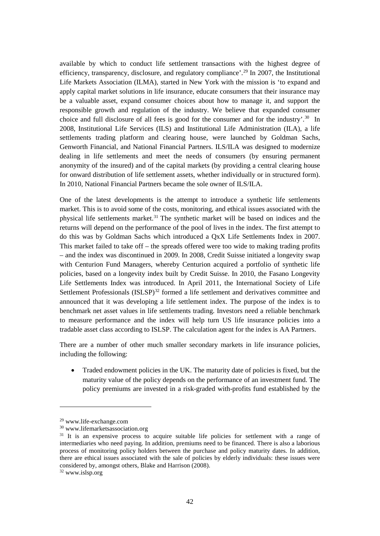available by which to conduct life settlement transactions with the highest degree of efficiency, transparency, disclosure, and regulatory compliance'.<sup>[29](#page-43-0)</sup> In 2007, the Institutional Life Markets Association (ILMA), started in New York with the mission is 'to expand and apply capital market solutions in life insurance, educate consumers that their insurance may be a valuable asset, expand consumer choices about how to manage it, and support the responsible growth and regulation of the industry. We believe that expanded consumer choice and full disclosure of all fees is good for the consumer and for the industry'.<sup>30</sup> In 2008, Institutional Life Services (ILS) and Institutional Life Administration (ILA), a life settlements trading platform and clearing house, were launched by Goldman Sachs, Genworth Financial, and National Financial Partners. ILS/ILA was designed to modernize dealing in life settlements and meet the needs of consumers (by ensuring permanent anonymity of the insured) and of the capital markets (by providing a central clearing house for onward distribution of life settlement assets, whether individually or in structured form). In 2010, National Financial Partners became the sole owner of ILS/ILA.

One of the latest developments is the attempt to introduce a synthetic life settlements market. This is to avoid some of the costs, monitoring, and ethical issues associated with the physical life settlements market. [31](#page-43-2) The synthetic market will be based on indices and the returns will depend on the performance of the pool of lives in the index. The first attempt to do this was by Goldman Sachs which introduced a QxX Life Settlements Index in 2007. This market failed to take off – the spreads offered were too wide to making trading profits – and the index was discontinued in 2009. In 2008, Credit Suisse initiated a longevity swap with Centurion Fund Managers, whereby Centurion acquired a portfolio of synthetic life policies, based on a longevity index built by Credit Suisse. In 2010, the Fasano Longevity Life Settlements Index was introduced. In April 2011, the International Society of Life Settlement Professionals (ISLSP)<sup>[32](#page-43-3)</sup> formed a life settlement and derivatives committee and announced that it was developing a life settlement index. The purpose of the index is to benchmark net asset values in life settlements trading. Investors need a reliable benchmark to measure performance and the index will help turn US life insurance policies into a tradable asset class according to ISLSP. The calculation agent for the index is AA Partners.

There are a number of other much smaller secondary markets in life insurance policies, including the following:

• Traded endowment policies in the UK. The maturity date of policies is fixed, but the maturity value of the policy depends on the performance of an investment fund. The policy premiums are invested in a risk-graded with-profits fund established by the

 $\ddot{\phantom{a}}$ 

<span id="page-43-0"></span><sup>29</sup> www.life-exchange.com

<span id="page-43-1"></span><sup>30</sup> www.lifemarketsassociation.org

<span id="page-43-2"></span><sup>&</sup>lt;sup>31</sup> It is an expensive process to acquire suitable life policies for settlement with a range of intermediaries who need paying. In addition, premiums need to be financed. There is also a laborious process of monitoring policy holders between the purchase and policy maturity dates. In addition, there are ethical issues associated with the sale of policies by elderly individuals: these issues were considered by, amongst others, Blake and Harrison (2008).

<span id="page-43-3"></span><sup>32</sup> www.islsp.org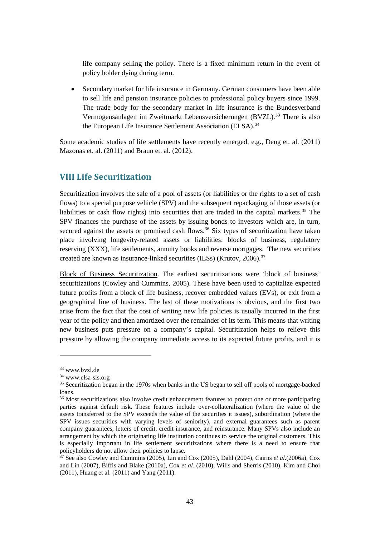life company selling the policy. There is a fixed minimum return in the event of policy holder dying during term.

• Secondary market for life insurance in Germany. German consumers have been able to sell life and pension insurance policies to professional policy buyers since 1999. The trade body for the secondary market in life insurance is the Bundesverband Vermogensanlagen im Zweitmarkt Lebensversicherungen (BVZL). **[33](#page-44-0)** There is also the European Life Insurance Settlement Association (ELSA).<sup>[34](#page-44-1)</sup>

Some academic studies of life se**t**tlements have recently emerged, e.g., Deng et. al. (2011) Mazonas et. al. (2011) and Braun et. al. (2012).

### **VIII Life Securitization**

Securitization involves the sale of a pool of assets (or liabilities or the rights to a set of cash flows) to a special purpose vehicle (SPV) and the subsequent repackaging of those assets (or liabilities or cash flow rights) into securities that are traded in the capital markets.<sup>[35](#page-44-2)</sup> The SPV finances the purchase of the assets by issuing bonds to investors which are, in turn, secured against the assets or promised cash flows.<sup>36</sup> Six types of securitization have taken place involving longevity-related assets or liabilities: blocks of business, regulatory reserving (XXX), life settlements, annuity books and reverse mortgages. The new securities created are known as insurance-linked securities (ILSs) (Krutov, 2006).<sup>[37](#page-44-4)</sup>

Block of Business Securitization. The earliest securitizations were 'block of business' securitizations (Cowley and Cummins, 2005). These have been used to capitalize expected future profits from a block of life business, recover embedded values (EVs), or exit from a geographical line of business. The last of these motivations is obvious, and the first two arise from the fact that the cost of writing new life policies is usually incurred in the first year of the policy and then amortized over the remainder of its term. This means that writing new business puts pressure on a company's capital. Securitization helps to relieve this pressure by allowing the company immediate access to its expected future profits, and it is

1

<span id="page-44-0"></span><sup>33</sup> www.bvzl.de

<span id="page-44-1"></span><sup>34</sup> www.elsa-sls.org

<span id="page-44-2"></span><sup>&</sup>lt;sup>35</sup> Securitization began in the 1970s when banks in the US began to sell off pools of mortgage-backed loans.

<span id="page-44-3"></span><sup>&</sup>lt;sup>36</sup> Most securitizations also involve credit enhancement features to protect one or more participating parties against default risk. These features include over-collateralization (where the value of the assets transferred to the SPV exceeds the value of the securities it issues), subordination (where the SPV issues securities with varying levels of seniority), and external guarantees such as parent company guarantees, letters of credit, credit insurance, and reinsurance. Many SPVs also include an arrangement by which the originating life institution continues to service the original customers. This is especially important in life settlement securitizations where there is a need to ensure that policyholders do not allow their policies to lapse.

<span id="page-44-4"></span><sup>37</sup> See also Cowley and Cummins (2005), Lin and Cox (2005), Dahl (2004), Cairns *et al*.(2006a), Cox and Lin (2007), Biffis and Blake (2010a), Cox *et al*. (2010), Wills and Sherris (2010), Kim and Choi (2011), Huang et al. (2011) and Yang (2011).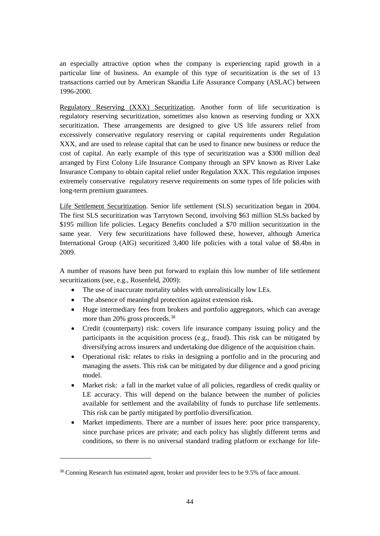an especially attractive option when the company is experiencing rapid growth in a particular line of business. An example of this type of securitization is the set of 13 transactions carried out by American Skandia Life Assurance Company (ASLAC) between 1996-2000.

Regulatory Reserving (XXX) Securitization. Another form of life securitization is regulatory reserving securitization, sometimes also known as reserving funding or XXX securitization. These arrangements are designed to give US life assurers relief from excessively conservative regulatory reserving or capital requirements under Regulation XXX, and are used to release capital that can be used to finance new business or reduce the cost of capital. An early example of this type of securitization was a \$300 million deal arranged by First Colony Life Insurance Company through an SPV known as River Lake Insurance Company to obtain capital relief under Regulation XXX. This regulation imposes extremely conservative regulatory reserve requirements on some types of life policies with long-term premium guarantees.

Life Settlement Securitization. Senior life settlement (SLS) securitization began in 2004. The first SLS securitization was Tarrytown Second, involving \$63 million SLSs backed by \$195 million life policies. Legacy Benefits concluded a \$70 million securitization in the same year. Very few securitizations have followed these, however, although America International Group (AIG) securitized 3,400 life policies with a total value of \$8.4bn in 2009.

A number of reasons have been put forward to explain this low number of life settlement securitizations (see, e.g., Rosenfeld, 2009):

- The use of inaccurate mortality tables with unrealistically low LEs.
- The absence of meaningful protection against extension risk.
- Huge intermediary fees from brokers and portfolio aggregators, which can average more than 20% gross proceeds.<sup>[38](#page-45-0)</sup>
- Credit (counterparty) risk: covers life insurance company issuing policy and the participants in the acquisition process (e.g., fraud). This risk can be mitigated by diversifying across insurers and undertaking due diligence of the acquisition chain.
- Operational risk: relates to risks in designing a portfolio and in the procuring and managing the assets. This risk can be mitigated by due diligence and a good pricing model.
- Market risk: a fall in the market value of all policies, regardless of credit quality or LE accuracy. This will depend on the balance between the number of policies available for settlement and the availability of funds to purchase life settlements. This risk can be partly mitigated by portfolio diversification.
- Market impediments. There are a number of issues here: poor price transparency, since purchase prices are private; and each policy has slightly different terms and conditions, so there is no universal standard trading platform or exchange for life-

<span id="page-45-0"></span><sup>38</sup> Conning Research has estimated agent, broker and provider fees to be 9.5% of face amount.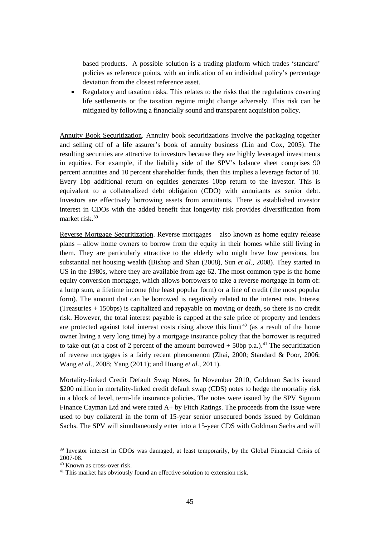based products. A possible solution is a trading platform which trades 'standard' policies as reference points, with an indication of an individual policy's percentage deviation from the closest reference asset.

• Regulatory and taxation risks. This relates to the risks that the regulations covering life settlements or the taxation regime might change adversely. This risk can be mitigated by following a financially sound and transparent acquisition policy.

Annuity Book Securitization. Annuity book securitizations involve the packaging together and selling off of a life assurer's book of annuity business (Lin and Cox, 2005). The resulting securities are attractive to investors because they are highly leveraged investments in equities. For example, if the liability side of the SPV's balance sheet comprises 90 percent annuities and 10 percent shareholder funds, then this implies a leverage factor of 10. Every 1bp additional return on equities generates 10bp return to the investor. This is equivalent to a collateralized debt obligation (CDO) with annuitants as senior debt. Investors are effectively borrowing assets from annuitants. There is established investor interest in CDOs with the added benefit that longevity risk provides diversification from market risk.[39](#page-46-0)

Reverse Mortgage Securitization. Reverse mortgages – also known as home equity release plans – allow home owners to borrow from the equity in their homes while still living in them. They are particularly attractive to the elderly who might have low pensions, but substantial net housing wealth (Bishop and Shan (2008), Sun *et al.*, 2008). They started in US in the 1980s, where they are available from age 62. The most common type is the home equity conversion mortgage, which allows borrowers to take a reverse mortgage in form of: a lump sum, a lifetime income (the least popular form) or a line of credit (the most popular form). The amount that can be borrowed is negatively related to the interest rate. Interest (Treasuries + 150bps) is capitalized and repayable on moving or death, so there is no credit risk. However, the total interest payable is capped at the sale price of property and lenders are protected against total interest costs rising above this  $\lim_{h \to 0}$  (as a result of the home owner living a very long time) by a mortgage insurance policy that the borrower is required to take out (at a cost of 2 percent of the amount borrowed  $+$  50bp p.a.).<sup>[41](#page-46-2)</sup> The securitization of reverse mortgages is a fairly recent phenomenon (Zhai, 2000; Standard & Poor, 2006; Wang *et al.*, 2008; Yang (2011); and Huang *et al.*, 2011).

Mortality-linked Credit Default Swap Notes. In November 2010, Goldman Sachs issued \$200 million in mortality-linked credit default swap (CDS) notes to hedge the mortality risk in a block of level, term-life insurance policies. The notes were issued by the SPV Signum Finance Cayman Ltd and were rated A+ by Fitch Ratings. The proceeds from the issue were used to buy collateral in the form of 15-year senior unsecured bonds issued by Goldman Sachs. The SPV will simultaneously enter into a 15-year CDS with Goldman Sachs and will

<span id="page-46-0"></span><sup>&</sup>lt;sup>39</sup> Investor interest in CDOs was damaged, at least temporarily, by the Global Financial Crisis of 2007-08.

<span id="page-46-1"></span><sup>40</sup> Known as cross-over risk.

<span id="page-46-2"></span><sup>&</sup>lt;sup>41</sup> This market has obviously found an effective solution to extension risk.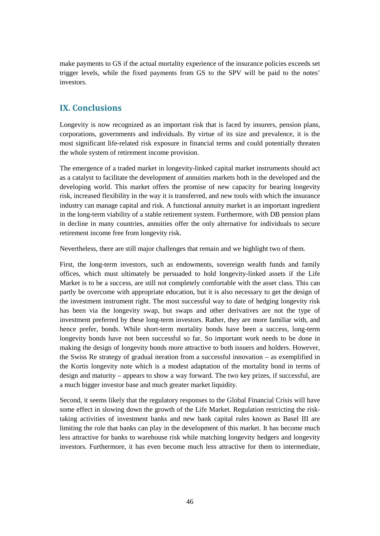make payments to GS if the actual mortality experience of the insurance policies exceeds set trigger levels, while the fixed payments from GS to the SPV will be paid to the notes' investors.

### **IX. Conclusions**

Longevity is now recognized as an important risk that is faced by insurers, pension plans, corporations, governments and individuals. By virtue of its size and prevalence, it is the most significant life-related risk exposure in financial terms and could potentially threaten the whole system of retirement income provision.

The emergence of a traded market in longevity-linked capital market instruments should act as a catalyst to facilitate the development of annuities markets both in the developed and the developing world. This market offers the promise of new capacity for bearing longevity risk, increased flexibility in the way it is transferred, and new tools with which the insurance industry can manage capital and risk. A functional annuity market is an important ingredient in the long-term viability of a stable retirement system. Furthermore, with DB pension plans in decline in many countries, annuities offer the only alternative for individuals to secure retirement income free from longevity risk.

Nevertheless, there are still major challenges that remain and we highlight two of them.

First, the long-term investors, such as endowments, sovereign wealth funds and family offices, which must ultimately be persuaded to hold longevity-linked assets if the Life Market is to be a success, are still not completely comfortable with the asset class. This can partly be overcome with appropriate education, but it is also necessary to get the design of the investment instrument right. The most successful way to date of hedging longevity risk has been via the longevity swap, but swaps and other derivatives are not the type of investment preferred by these long-term investors. Rather, they are more familiar with, and hence prefer, bonds. While short-term mortality bonds have been a success, long-term longevity bonds have not been successful so far. So important work needs to be done in making the design of longevity bonds more attractive to both issuers and holders. However, the Swiss Re strategy of gradual iteration from a successful innovation – as exemplified in the Kortis longevity note which is a modest adaptation of the mortality bond in terms of design and maturity – appears to show a way forward. The two key prizes, if successful, are a much bigger investor base and much greater market liquidity.

Second, it seems likely that the regulatory responses to the Global Financial Crisis will have some effect in slowing down the growth of the Life Market. Regulation restricting the risktaking activities of investment banks and new bank capital rules known as Basel III are limiting the role that banks can play in the development of this market. It has become much less attractive for banks to warehouse risk while matching longevity hedgers and longevity investors. Furthermore, it has even become much less attractive for them to intermediate,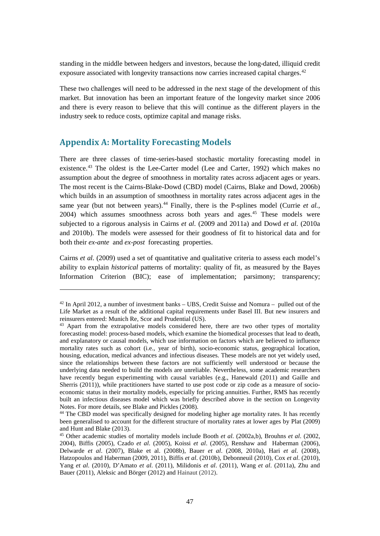standing in the middle between hedgers and investors, because the long-dated, illiquid credit exposure associated with longevity transactions now carries increased capital charges.<sup>[42](#page-48-0)</sup>

These two challenges will need to be addressed in the next stage of the development of this market. But innovation has been an important feature of the longevity market since 2006 and there is every reason to believe that this will continue as the different players in the industry seek to reduce costs, optimize capital and manage risks.

### **Appendix A: Mortality Forecasting Models**

 $\overline{a}$ 

There are three classes of time-series-based stochastic mortality forecasting model in existence.[43](#page-48-1) The oldest is the Lee-Carter model (Lee and Carter, 1992) which makes no assumption about the degree of smoothness in mortality rates across adjacent ages or years. The most recent is the Cairns-Blake-Dowd (CBD) model (Cairns, Blake and Dowd, 2006b) which builds in an assumption of smoothness in mortality rates across adjacent ages in the same year (but not between years).<sup>[44](#page-48-2)</sup> Finally, there is the P-splines model (Currie *et al.*, 2004) which assumes smoothness across both years and ages.[45](#page-48-3) These models were subjected to a rigorous analysis in Cairns *et al.* (2009 and 2011a) and Dowd *et al.* (2010a and 2010b). The models were assessed for their goodness of fit to historical data and for both their *ex-ante* and *ex-post* forecasting properties.

Cairns *et al.* (2009) used a set of quantitative and qualitative criteria to assess each model's ability to explain *historical* patterns of mortality: quality of fit, as measured by the Bayes Information Criterion (BIC); ease of implementation; parsimony; transparency;

<span id="page-48-0"></span> $42$  In April 2012, a number of investment banks – UBS, Credit Suisse and Nomura – pulled out of the Life Market as a result of the additional capital requirements under Basel III. But new insurers and reinsurers entered: Munich Re, Scor and Prudential (US).

<span id="page-48-1"></span><sup>&</sup>lt;sup>43</sup> Apart from the extrapolative models considered here, there are two other types of mortality forecasting model: process-based models, which examine the biomedical processes that lead to death, and explanatory or causal models, which use information on factors which are believed to influence mortality rates such as cohort (i.e., year of birth), socio-economic status, geographical location, housing, education, medical advances and infectious diseases. These models are not yet widely used, since the relationships between these factors are not sufficiently well understood or because the underlying data needed to build the models are unreliable. Nevertheless, some academic researchers have recently begun experimenting with causal variables (e.g., Hanewald (2011) and Gaille and Sherris (2011)), while practitioners have started to use post code or zip code as a measure of socioeconomic status in their mortality models, especially for pricing annuities. Further, RMS has recently built an infectious diseases model which was briefly described above in the section on Longevity Notes. For more details, see Blake and Pickles (2008).

<span id="page-48-2"></span><sup>&</sup>lt;sup>44</sup> The CBD model was specifically designed for modeling higher age mortality rates. It has recently been generalised to account for the different structure of mortality rates at lower ages by Plat (2009) and Hunt and Blake (2013).

<span id="page-48-3"></span><sup>45</sup> Other academic studies of mortality models include Booth *et al*. (2002a,b), Brouhns *et al*. (2002, 2004), Biffis (2005), Czado *et al*. (2005), Koissi *et al*. (2005), Renshaw and Haberman (2006), Delwarde *et al*. (2007), Blake et al. (2008b), Bauer *et al*. (2008, 2010a), Hari *et al*. (2008), Hatzopoulos and Haberman (2009, 2011), Biffis *et al*. (2010b), Debonneuil (2010), Cox *et al*. (2010), Yang *et al*. (2010), D'Amato *et al*. (2011), Milidonis *et al*. (2011), Wang *et al*. (2011a), Zhu and Bauer (2011), Aleksic and Börger (2012) and Hainaut (2012).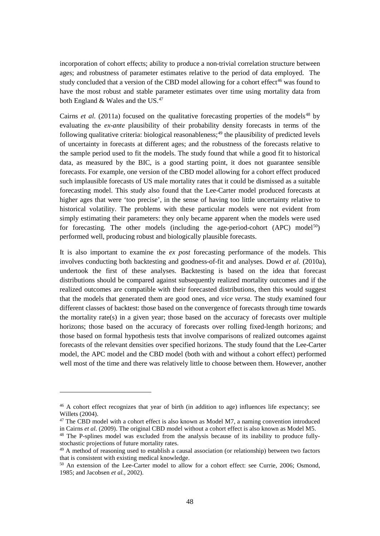incorporation of cohort effects; ability to produce a non-trivial correlation structure between ages; and robustness of parameter estimates relative to the period of data employed. The study concluded that a version of the CBD model allowing for a cohort effect<sup>[46](#page-49-0)</sup> was found to have the most robust and stable parameter estimates over time using mortality data from both England & Wales and the US.<sup>47</sup>

Cairns *et al.* (2011a) focused on the qualitative forecasting properties of the models<sup>[48](#page-49-2)</sup> by evaluating the *ex-ante* plausibility of their probability density forecasts in terms of the following qualitative criteria: biological reasonableness;<sup>[49](#page-49-3)</sup> the plausibility of predicted levels of uncertainty in forecasts at different ages; and the robustness of the forecasts relative to the sample period used to fit the models. The study found that while a good fit to historical data, as measured by the BIC, is a good starting point, it does not guarantee sensible forecasts. For example, one version of the CBD model allowing for a cohort effect produced such implausible forecasts of US male mortality rates that it could be dismissed as a suitable forecasting model. This study also found that the Lee-Carter model produced forecasts at higher ages that were 'too precise', in the sense of having too little uncertainty relative to historical volatility. The problems with these particular models were not evident from simply estimating their parameters: they only became apparent when the models were used for forecasting. The other models (including the age-period-cohort (APC) model<sup>[50](#page-49-4)</sup>) performed well, producing robust and biologically plausible forecasts.

It is also important to examine the *ex post* forecasting performance of the models. This involves conducting both backtesting and goodness-of-fit and analyses. Dowd *et al.* (2010a), undertook the first of these analyses. Backtesting is based on the idea that forecast distributions should be compared against subsequently realized mortality outcomes and if the realized outcomes are compatible with their forecasted distributions, then this would suggest that the models that generated them are good ones, and *vice versa*. The study examined four different classes of backtest: those based on the convergence of forecasts through time towards the mortality rate(s) in a given year; those based on the accuracy of forecasts over multiple horizons; those based on the accuracy of forecasts over rolling fixed-length horizons; and those based on formal hypothesis tests that involve comparisons of realized outcomes against forecasts of the relevant densities over specified horizons. The study found that the Lee-Carter model, the APC model and the CBD model (both with and without a cohort effect) performed well most of the time and there was relatively little to choose between them. However, another

<span id="page-49-0"></span><sup>&</sup>lt;sup>46</sup> A cohort effect recognizes that year of birth (in addition to age) influences life expectancy; see Willets (2004).

<span id="page-49-1"></span><sup>&</sup>lt;sup>47</sup> The CBD model with a cohort effect is also known as Model M7, a naming convention introduced in Cairns *et al.* (2009). The original CBD model without a cohort effect is also known as Model M5.

<span id="page-49-2"></span><sup>48</sup> The P-splines model was excluded from the analysis because of its inability to produce fullystochastic projections of future mortality rates.

<span id="page-49-3"></span><sup>&</sup>lt;sup>49</sup> A method of reasoning used to establish a causal association (or relationship) between two factors that is consistent with existing medical knowledge.

<span id="page-49-4"></span><sup>&</sup>lt;sup>50</sup> An extension of the Lee-Carter model to allow for a cohort effect: see Currie, 2006; Osmond, 1985; and Jacobsen *et al.*, 2002).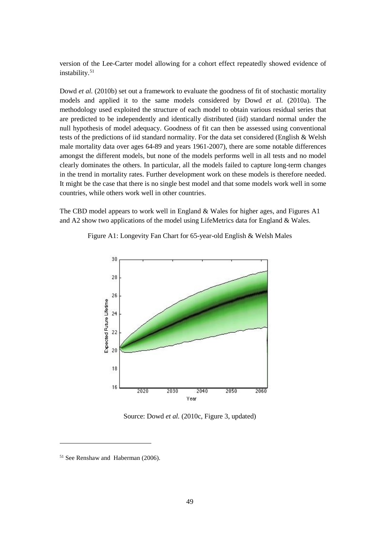version of the Lee-Carter model allowing for a cohort effect repeatedly showed evidence of instability.<sup>51</sup>

Dowd *et al.* (2010b) set out a framework to evaluate the goodness of fit of stochastic mortality models and applied it to the same models considered by Dowd *et al.* (2010a). The methodology used exploited the structure of each model to obtain various residual series that are predicted to be independently and identically distributed (iid) standard normal under the null hypothesis of model adequacy. Goodness of fit can then be assessed using conventional tests of the predictions of iid standard normality. For the data set considered (English & Welsh male mortality data over ages 64-89 and years 1961-2007), there are some notable differences amongst the different models, but none of the models performs well in all tests and no model clearly dominates the others. In particular, all the models failed to capture long-term changes in the trend in mortality rates. Further development work on these models is therefore needed. It might be the case that there is no single best model and that some models work well in some countries, while others work well in other countries.

The CBD model appears to work well in England & Wales for higher ages, and Figures A1 and A2 show two applications of the model using LifeMetrics data for England & Wales.



Figure A1: Longevity Fan Chart for 65-year-old English & Welsh Males

Source: Dowd *et al.* (2010c, Figure 3, updated)

<span id="page-50-0"></span><sup>51</sup> See Renshaw and Haberman (2006).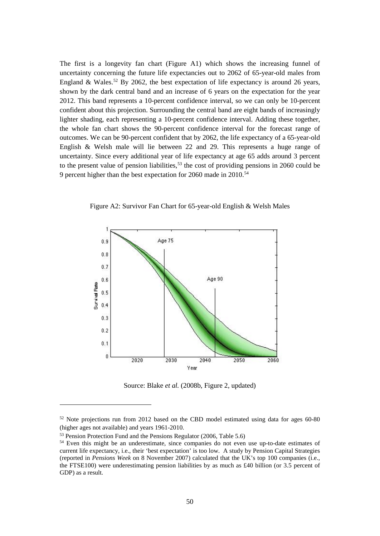The first is a longevity fan chart (Figure A1) which shows the increasing funnel of uncertainty concerning the future life expectancies out to 2062 of 65-year-old males from England & Wales.<sup>[52](#page-51-0)</sup> By 2062, the best expectation of life expectancy is around 26 years, shown by the dark central band and an increase of 6 years on the expectation for the year 2012. This band represents a 10-percent confidence interval, so we can only be 10-percent confident about this projection. Surrounding the central band are eight bands of increasingly lighter shading, each representing a 10-percent confidence interval. Adding these together, the whole fan chart shows the 90-percent confidence interval for the forecast range of outcomes. We can be 90-percent confident that by 2062, the life expectancy of a 65-year-old English & Welsh male will lie between 22 and 29. This represents a huge range of uncertainty. Since every additional year of life expectancy at age 65 adds around 3 percent to the present value of pension liabilities,<sup>53</sup> the cost of providing pensions in 2060 could be 9 percent higher than the best expectation for 2060 made in 2010.<sup>[54](#page-51-2)</sup>





Source: Blake *et al.* (2008b, Figure 2, updated)

<span id="page-51-0"></span><sup>52</sup> Note projections run from 2012 based on the CBD model estimated using data for ages 60-80 (higher ages not available) and years 1961-2010.

<span id="page-51-1"></span><sup>53</sup> Pension Protection Fund and the Pensions Regulator (2006, Table 5.6)

<span id="page-51-2"></span><sup>&</sup>lt;sup>54</sup> Even this might be an underestimate, since companies do not even use up-to-date estimates of current life expectancy, i.e., their 'best expectation' is too low. A study by Pension Capital Strategies (reported in *Pensions Week* on 8 November 2007) calculated that the UK's top 100 companies (i.e., the FTSE100) were underestimating pension liabilities by as much as £40 billion (or 3.5 percent of GDP) as a result.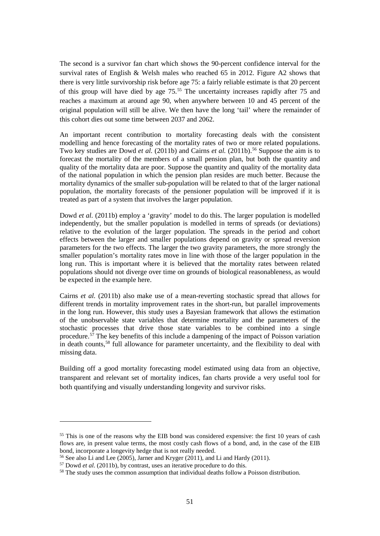The second is a survivor fan chart which shows the 90-percent confidence interval for the survival rates of English & Welsh males who reached 65 in 2012. Figure A2 shows that there is very little survivorship risk before age 75: a fairly reliable estimate is that 20 percent of this group will have died by age  $75<sup>55</sup>$  $75<sup>55</sup>$  $75<sup>55</sup>$  The uncertainty increases rapidly after 75 and reaches a maximum at around age 90, when anywhere between 10 and 45 percent of the original population will still be alive. We then have the long 'tail' where the remainder of this cohort dies out some time between 2037 and 2062.

An important recent contribution to mortality forecasting deals with the consistent modelling and hence forecasting of the mortality rates of two or more related populations. Two key studies are Dowd *et al.* (2011b) and Cairns *et al.* (2011b).<sup>[56](#page-52-1)</sup> Suppose the aim is to forecast the mortality of the members of a small pension plan, but both the quantity and quality of the mortality data are poor. Suppose the quantity and quality of the mortality data of the national population in which the pension plan resides are much better. Because the mortality dynamics of the smaller sub-population will be related to that of the larger national population, the mortality forecasts of the pensioner population will be improved if it is treated as part of a system that involves the larger population.

Dowd *et al.* (2011b) employ a 'gravity' model to do this. The larger population is modelled independently, but the smaller population is modelled in terms of spreads (or deviations) relative to the evolution of the larger population. The spreads in the period and cohort effects between the larger and smaller populations depend on gravity or spread reversion parameters for the two effects. The larger the two gravity parameters, the more strongly the smaller population's mortality rates move in line with those of the larger population in the long run. This is important where it is believed that the mortality rates between related populations should not diverge over time on grounds of biological reasonableness, as would be expected in the example here.

Cairns *et al.* (2011b) also make use of a mean-reverting stochastic spread that allows for different trends in mortality improvement rates in the short-run, but parallel improvements in the long run. However, this study uses a Bayesian framework that allows the estimation of the unobservable state variables that determine mortality and the parameters of the stochastic processes that drive those state variables to be combined into a single procedure.[57](#page-52-2) The key benefits of this include a dampening of the impact of Poisson variation in death counts,<sup>58</sup> full allowance for parameter uncertainty, and the flexibility to deal with missing data.

Building off a good mortality forecasting model estimated using data from an objective, transparent and relevant set of mortality indices, fan charts provide a very useful tool for both quantifying and visually understanding longevity and survivor risks.

<span id="page-52-0"></span><sup>&</sup>lt;sup>55</sup> This is one of the reasons why the EIB bond was considered expensive: the first 10 years of cash flows are, in present value terms, the most costly cash flows of a bond, and, in the case of the EIB bond, incorporate a longevity hedge that is not really needed.

<span id="page-52-1"></span><sup>56</sup> See also Li and Lee (2005), Jarner and Kryger (2011), and Li and Hardy (2011).

<span id="page-52-2"></span><sup>57</sup> Dowd *et al*. (2011b), by contrast, uses an iterative procedure to do this.

<span id="page-52-3"></span><sup>&</sup>lt;sup>58</sup> The study uses the common assumption that individual deaths follow a Poisson distribution.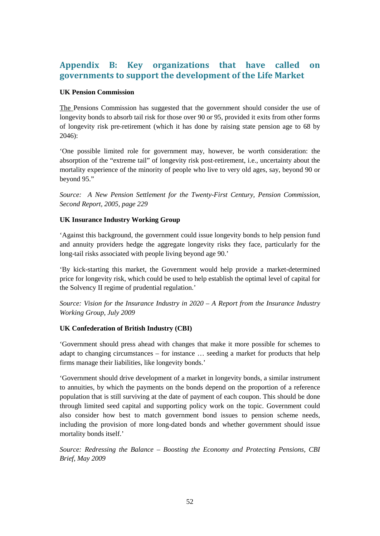### **Appendix B: Key organizations that have called on governments to support the development of the Life Market**

### **UK Pension Commission**

The Pensions Commission has suggested that the government should consider the use of longevity bonds to absorb tail risk for those over 90 or 95, provided it exits from other forms of longevity risk pre-retirement (which it has done by raising state pension age to 68 by 2046):

'One possible limited role for government may, however, be worth consideration: the absorption of the "extreme tail" of longevity risk post-retirement, i.e., uncertainty about the mortality experience of the minority of people who live to very old ages, say, beyond 90 or beyond 95."

*Source: A New Pension Settlement for the Twenty-First Century, Pension Commission, Second Report, 2005, page 229* 

### **UK Insurance Industry Working Group**

'Against this background, the government could issue longevity bonds to help pension fund and annuity providers hedge the aggregate longevity risks they face, particularly for the long-tail risks associated with people living beyond age 90.'

'By kick-starting this market, the Government would help provide a market-determined price for longevity risk, which could be used to help establish the optimal level of capital for the Solvency II regime of prudential regulation.'

*Source: Vision for the Insurance Industry in 2020 – A Report from the Insurance Industry Working Group, July 2009* 

### **UK Confederation of British Industry (CBI)**

'Government should press ahead with changes that make it more possible for schemes to adapt to changing circumstances – for instance … seeding a market for products that help firms manage their liabilities, like longevity bonds.'

'Government should drive development of a market in longevity bonds, a similar instrument to annuities, by which the payments on the bonds depend on the proportion of a reference population that is still surviving at the date of payment of each coupon. This should be done through limited seed capital and supporting policy work on the topic. Government could also consider how best to match government bond issues to pension scheme needs, including the provision of more long-dated bonds and whether government should issue mortality bonds itself.'

*Source: Redressing the Balance – Boosting the Economy and Protecting Pensions, CBI Brief, May 2009*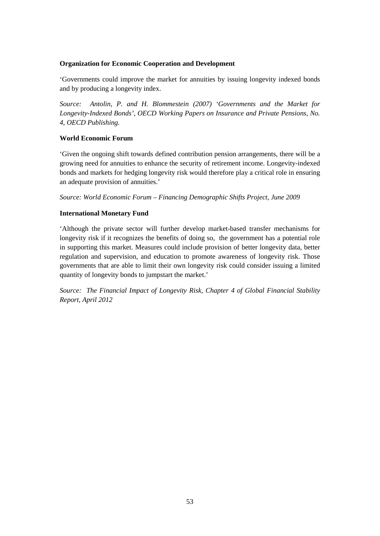### **Organization for Economic Cooperation and Development**

'Governments could improve the market for annuities by issuing longevity indexed bonds and by producing a longevity index.

*Source: Antolin, P. and H. Blommestein (2007) 'Governments and the Market for Longevity-Indexed Bonds', OECD Working Papers on Insurance and Private Pensions, No. 4, OECD Publishing.* 

### **World Economic Forum**

'Given the ongoing shift towards defined contribution pension arrangements, there will be a growing need for annuities to enhance the security of retirement income. Longevity-indexed bonds and markets for hedging longevity risk would therefore play a critical role in ensuring an adequate provision of annuities.'

*Source: World Economic Forum – Financing Demographic Shifts Project, June 2009*

### **International Monetary Fund**

'Although the private sector will further develop market-based transfer mechanisms for longevity risk if it recognizes the benefits of doing so, the government has a potential role in supporting this market. Measures could include provision of better longevity data, better regulation and supervision, and education to promote awareness of longevity risk. Those governments that are able to limit their own longevity risk could consider issuing a limited quantity of longevity bonds to jumpstart the market.'

*Source: The Financial Impact of Longevity Risk, Chapter 4 of Global Financial Stability Report, April 2012*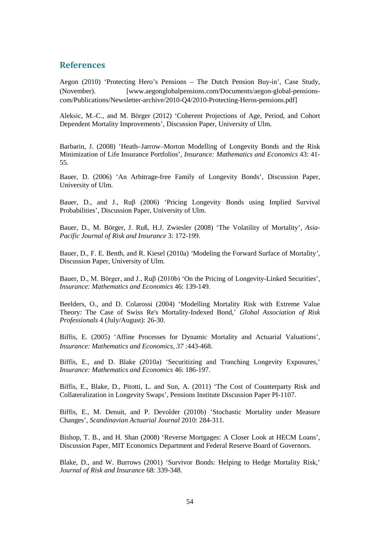### **References**

Aegon (2010) 'Protecting Hero's Pensions – The Dutch Pension Buy-in', Case Study, (November). [www.aegonglobalpensions.com/Documents/aegon-global-pensionscom/Publications/Newsletter-archive/2010-Q4/2010-Protecting-Heros-pensions.pdf]

Aleksic, M.-C., and M. Börger (2012) 'Coherent Projections of Age, Period, and Cohort Dependent Mortality Improvements', Discussion Paper, University of Ulm.

Barbarin, J. (2008) 'Heath–Jarrow–Morton Modelling of Longevity Bonds and the Risk Minimization of Life Insurance Portfolios', *Insurance: Mathematics and Economics* 43: 41- 55.

Bauer, D. (2006) 'An Arbitrage-free Family of Longevity Bonds', Discussion Paper, University of Ulm.

Bauer, D., and J., Ruβ (2006) 'Pricing Longevity Bonds using Implied Survival Probabilities', Discussion Paper, University of Ulm.

Bauer, D., M. Börger, J. Ruß, H.J. Zwiesler (2008) 'The Volatility of Mortality', *Asia-Pacific Journal of Risk and Insurance* 3: 172-199.

Bauer, D., F. E. Benth, and R. Kiesel (2010a) *'*Modeling the Forward Surface of Mortality*'*, Discussion Paper, University of Ulm.

Bauer, D., M. Börger, and J., Ruβ (2010b) 'On the Pricing of Longevity-Linked Securities', *Insurance: Mathematics and Economics* 46: 139-149.

Beelders, O., and D. Colarossi (2004) 'Modelling Mortality Risk with Extreme Value Theory: The Case of Swiss Re's Mortality-Indexed Bond,' *Global Association of Risk Professionals* 4 (July/August): 26-30.

Biffis, E. (2005) 'Affine Processes for Dynamic Mortality and Actuarial Valuations', *Insurance: Mathematics and Economics*, *37 :*443-468.

Biffis, E., and D. Blake (2010a) 'Securitizing and Tranching Longevity Exposures,' *Insurance: Mathematics and Economics* 46: 186-197.

Biffis, E., Blake, D., Pitotti, L. and Sun, A. (2011) 'The Cost of Counterparty Risk and Collateralization in Longevity Swaps', Pensions Institute Discussion Paper PI-1107.

Biffis, E., M. Denuit, and P. Devolder (2010b) 'Stochastic Mortality under Measure Changes', *Scandinavian Actuarial Journal* 2010: 284-311.

Bishop, T. B., and H. Shan (2008) 'Reverse Mortgages: A Closer Look at HECM Loans', Discussion Paper, MIT Economics Department and Federal Reserve Board of Governors.

Blake, D., and W. Burrows (2001) 'Survivor Bonds: Helping to Hedge Mortality Risk,' *Journal of Risk and Insurance* 68: 339-348.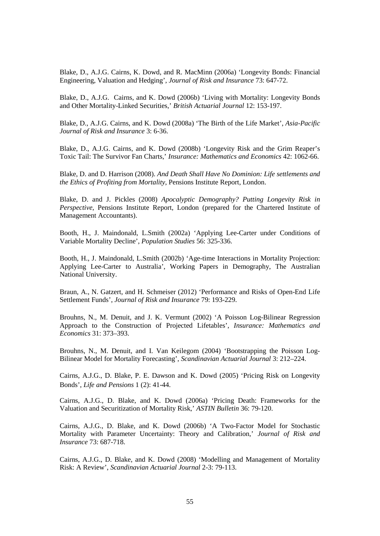Blake, D., A.J.G. Cairns, K. Dowd, and R. MacMinn (2006a) 'Longevity Bonds: Financial Engineering, Valuation and Hedging', *Journal of Risk and Insurance* 73: 647-72.

Blake, D., A.J.G. Cairns, and K. Dowd (2006b) 'Living with Mortality: Longevity Bonds and Other Mortality-Linked Securities,' *British Actuarial Journal* 12: 153-197.

Blake, D., A.J.G. Cairns, and K. Dowd (2008a) 'The Birth of the Life Market', *Asia-Pacific Journal of Risk and Insurance* 3: 6-36.

Blake, D., A.J.G. Cairns, and K. Dowd (2008b) 'Longevity Risk and the Grim Reaper's Toxic Tail: The Survivor Fan Charts,' *Insurance: Mathematics and Economics* 42: 1062-66.

Blake, D. and D. Harrison (2008). *And Death Shall Have No Dominion: Life settlements and the Ethics of Profiting from Mortality*, Pensions Institute Report, London.

Blake, D. and J. Pickles (2008) *Apocalyptic Demography? Putting Longevity Risk in Perspective*, Pensions Institute Report, London (prepared for the Chartered Institute of Management Accountants).

Booth, H., J. Maindonald, L.Smith (2002a) 'Applying Lee-Carter under Conditions of Variable Mortality Decline', *Population Studies* 56: 325-336.

Booth, H., J. Maindonald, L.Smith (2002b) 'Age-time Interactions in Mortality Projection: Applying Lee-Carter to Australia', Working Papers in Demography, The Australian National University.

Braun, A., N. Gatzert, and H. Schmeiser (2012) 'Performance and Risks of Open-End Life Settlement Funds', *Journal of Risk and Insurance* 79: 193-229.

Brouhns, N., M. Denuit, and J. K. Vermunt (2002) 'A Poisson Log-Bilinear Regression Approach to the Construction of Projected Lifetables', *Insurance: Mathematics and Economics* 31: 373–393.

Brouhns, N., M. Denuit, and I. Van Keilegom (2004) 'Bootstrapping the Poisson Log-Bilinear Model for Mortality Forecasting', *Scandinavian Actuarial Journal* 3: 212–224.

Cairns, A.J.G., D. Blake, P. E. Dawson and K. Dowd (2005) ['Pricing Risk on Longevity](https://outweb.city.ac.uk/owa/redir.aspx?C=b281e28a041642ca986cd75ae6b6c97d&URL=http%3a%2f%2fwww.pensions-institute.org%2fworkingpapers%2fwp0508.pdf)  [Bonds'](https://outweb.city.ac.uk/owa/redir.aspx?C=b281e28a041642ca986cd75ae6b6c97d&URL=http%3a%2f%2fwww.pensions-institute.org%2fworkingpapers%2fwp0508.pdf), *Life and Pensions* 1 (2): 41-44.

Cairns, A.J.G., D. Blake, and K. Dowd (2006a) 'Pricing Death: Frameworks for the Valuation and Securitization of Mortality Risk,' *ASTIN Bulletin* 36: 79-120.

Cairns, A.J.G., D. Blake, and K. Dowd (2006b) 'A Two-Factor Model for Stochastic Mortality with Parameter Uncertainty: Theory and Calibration,' *Journal of Risk and Insurance* 73: 687-718.

Cairns, A.J.G., D. Blake, and K. Dowd (2008) 'Modelling and Management of Mortality Risk: A Review', *Scandinavian Actuarial Journal* 2-3: 79-113.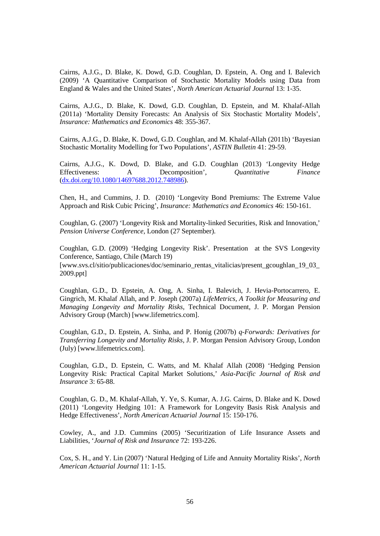Cairns, A.J.G., D. Blake, K. Dowd, G.D. Coughlan, D. Epstein, A. Ong and I. Balevich (2009) 'A Quantitative Comparison of Stochastic Mortality Models using Data from England & Wales and the United States', *North American Actuarial Journal* 13: 1-35.

Cairns, A.J.G., D. Blake, K. Dowd, G.D. Coughlan, D. Epstein, and M. Khalaf-Allah (2011a) 'Mortality Density Forecasts: An Analysis of Six Stochastic Mortality Models', *Insurance: Mathematics and Economics* 48: 355-367.

Cairns, A.J.G., D. Blake, K. Dowd, G.D. Coughlan, and M. Khalaf-Allah (2011b) 'Bayesian Stochastic Mortality Modelling for Two Populations', *ASTIN Bulletin* 41: 29-59.

Cairns, A.J.G., K. Dowd, D. Blake, and G.D. Coughlan (2013) 'Longevity Hedge Effectiveness: A Decomposition', *Quantitative Finance* [\(dx.doi.org/10.1080/14697688.2012.748986\)](http://dx.doi.org/10.1080/14697688.2012.748986).

Chen, H., and Cummins, J. D. (2010) 'Longevity Bond Premiums: The Extreme Value Approach and Risk Cubic Pricing', *Insurance: Mathematics and Economics* 46: 150-161.

Coughlan, G. (2007) 'Longevity Risk and Mortality-linked Securities, Risk and Innovation,' *Pension Universe Conference*, London (27 September).

Coughlan, G.D. (2009) 'Hedging Longevity Risk'. Presentation at the SVS Longevity Conference, Santiago, Chile (March 19)

[www.svs.cl/sitio/publicaciones/doc/seminario\_rentas\_vitalicias/present\_gcoughlan\_19\_03\_ 2009.ppt]

Coughlan, G.D., D. Epstein, A. Ong, A. Sinha, I. Balevich, J. Hevia-Portocarrero, E. Gingrich, M. Khalaf Allah, and P. Joseph (2007a) *LifeMetrics, A Toolkit for Measuring and Managing Longevity and Mortality Risks*, Technical Document, J. P. Morgan Pension Advisory Group (March) [www.lifemetrics.com].

Coughlan, G.D., D. Epstein, A. Sinha, and P. Honig (2007b) *q-Forwards: Derivatives for Transferring Longevity and Mortality Risks,* J. P. Morgan Pension Advisory Group, London (July) [www.lifemetrics.com].

Coughlan, G.D., D. Epstein, C. Watts, and M. Khalaf Allah (2008) 'Hedging Pension Longevity Risk: Practical Capital Market Solutions,' *Asia-Pacific Journal of Risk and Insurance* 3: 65-88.

Coughlan, G. D., M. Khalaf-Allah, Y. Ye, S. Kumar, A. J.G. Cairns, D. Blake and K. Dowd (2011) 'Longevity Hedging 101: A Framework for Longevity Basis Risk Analysis and Hedge Effectiveness', *North American Actuarial Journal* 15: 150-176.

Cowley, A., and J.D. Cummins (2005) 'Securitization of Life Insurance Assets and Liabilities, '*Journal of Risk and Insurance* 72: 193-226.

Cox, S. H., and Y. Lin (2007) 'Natural Hedging of Life and Annuity Mortality Risks', *North American Actuarial Journal* 11: 1-15.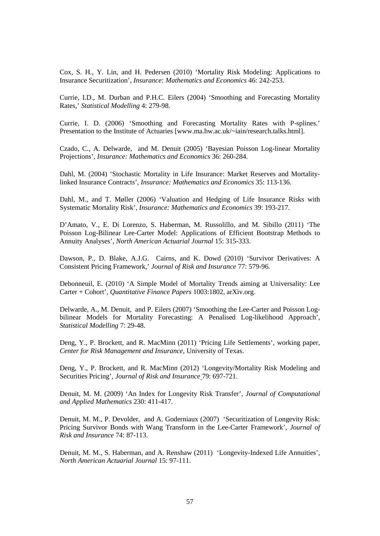Cox, S. H., Y. Lin, and H. Pedersen (2010) 'Mortality Risk Modeling: Applications to Insurance Securitization', *Insurance: Mathematics and Economics* 46: 242-253.

Currie, I.D., M. Durban and P.H.C. Eilers (2004) 'Smoothing and Forecasting Mortality Rates,' *Statistical Modelling* 4: 279-98.

Currie, I. D. (2006) 'Smoothing and Forecasting Mortality Rates with P-splines.' Presentation to the Institute of Actuaries [\[www.ma.hw.ac.uk/~iain/research.talks.html\]](http://www.ma.hw.ac.uk/%7Eiain/research.talks.html).

Czado, C., A. Delwarde, and M. Denuit (2005) 'Bayesian Poisson Log-linear Mortality Projections', *Insurance: Mathematics and Economics* 36: 260-284.

Dahl, M. (2004) 'Stochastic Mortality in Life Insurance: Market Reserves and Mortalitylinked Insurance Contracts', *Insurance: Mathematics and Economics* 35: 113-136.

Dahl, M., and T. Møller (2006) 'Valuation and Hedging of Life Insurance Risks with Systematic Mortality Risk', *Insurance: Mathematics and Economics* 39: 193-217.

D'Amato, V., E. Di Lorenzo, S. Haberman, M. Russolillo, and M. Sibillo (2011) 'The Poisson Log-Bilinear Lee-Carter Model: Applications of Efficient Bootstrap Methods to Annuity Analyses', *North American Actuarial Journal* 15: 315-333.

Dawson, P., D. Blake, A.J.G. Cairns, and K. Dowd (2010) 'Survivor Derivatives: A Consistent Pricing Framework,' *Journal of Risk and Insurance* 77: 579-96.

Debonneuil, E. (2010) 'A Simple Model of Mortality Trends aiming at Universality: Lee Carter + Cohort', *Quantitative Finance Papers* 1003:1802, arXiv.org.

Delwarde, A., M. Denuit, and P. Eilers (2007) 'Smoothing the Lee-Carter and Poisson Logbilinear Models for Mortality Forecasting: A Penalised Log-likelihood Approach', *Statistical Modelling* 7: 29-48.

Deng, Y., P. Brockett, and R. MacMinn (2011) 'Pricing Life Settlements', working paper, *Center for Risk Management and Insurance*, University of Texas.

Deng, Y., P. Brockett, and R. MacMinn (2012) 'Longevity/Mortality Risk Modeling and Securities Pricing', *Journal of Risk and Insurance* 79: 697-721.

Denuit, M. M. (2009) 'An Index for Longevity Risk Transfer', *Journal of Computational and Applied Mathematics* 230: 411-417.

Denuit, M. M., P. Devolder, and A. Goderniaux (2007) 'Securitization of Longevity Risk: Pricing Survivor Bonds with Wang Transform in the Lee-Carter Framework', *Journal of Risk and Insurance* 74: 87-113.

Denuit, M. M., S. Haberman, and A. Renshaw (2011) 'Longevity-Indexed Life Annuities', *North American Actuarial Journal* 15: 97-111.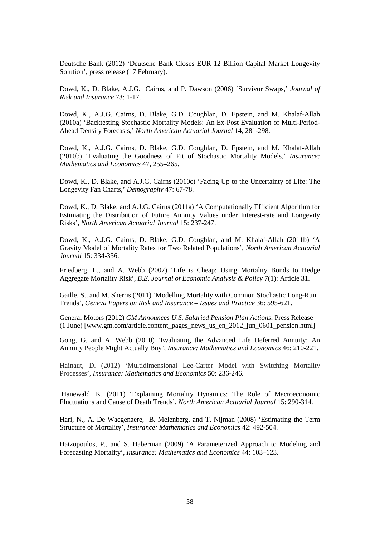Deutsche Bank (2012) 'Deutsche Bank Closes EUR 12 Billion Capital Market Longevity Solution', press release (17 February).

Dowd, K., D. Blake, A.J.G. Cairns, and P. Dawson (2006) 'Survivor Swaps,' *Journal of Risk and Insurance* 73: 1-17.

Dowd, K., A.J.G. Cairns, D. Blake, G.D. Coughlan, D. Epstein, and M. Khalaf-Allah (2010a) 'Backtesting Stochastic Mortality Models: An Ex-Post Evaluation of Multi-Period-Ahead Density Forecasts*,*' *North American Actuarial Journal* 14, 281-298.

Dowd, K., A.J.G. Cairns, D. Blake, G.D. Coughlan, D. Epstein, and M. Khalaf-Allah (2010b) 'Evaluating the Goodness of Fit of Stochastic Mortality Models,' *Insurance: Mathematics and Economics* 47, 255–265.

Dowd, K., D. Blake, and A.J.G. Cairns (2010c) 'Facing Up to the Uncertainty of Life: The Longevity Fan Charts,' *Demography* 47: 67-78.

Dowd, K., D. Blake, and A.J.G. Cairns (2011a) 'A Computationally Efficient Algorithm for Estimating the Distribution of Future Annuity Values under Interest-rate and Longevity Risks', *North American Actuarial Journal* 15: 237-247.

Dowd, K., A.J.G. Cairns, D. Blake, G.D. Coughlan, and M. Khalaf-Allah (2011b) 'A Gravity Model of Mortality Rates for Two Related Populations', *North American Actuarial Journal* 15: 334-356.

Friedberg, L., and A. Webb (2007) 'Life is Cheap: Using Mortality Bonds to Hedge Aggregate Mortality Risk', *B.E. Journal of Economic Analysis & Policy* 7(1): Article 31.

Gaille, S., and M. Sherris (2011) 'Modelling Mortality with Common Stochastic Long-Run Trends', *Geneva Papers on Risk and Insurance – Issues and Practice* 36: 595-621.

General Motors (2012) *GM Announces U.S. Salaried Pension Plan Actions*, Press Release (1 June) [www.gm.com/article.content\_pages\_news\_us\_en\_2012\_jun\_0601\_pension.html]

Gong, G. and A. Webb (2010) 'Evaluating the Advanced Life Deferred Annuity: An Annuity People Might Actually Buy', *Insurance: Mathematics and Economics* 46: 210-221.

Hainaut, D. (2012) 'Multidimensional Lee-Carter Model with Switching Mortality Processes', *Insurance: Mathematics and Economics* 50: 236-246.

Hanewald, K. (2011) 'Explaining Mortality Dynamics: The Role of Macroeconomic Fluctuations and Cause of Death Trends', *North American Actuarial Journal* 15: 290-314.

Hari, N., A. De Waegenaere, B. Melenberg, and T. Nijman (2008) 'Estimating the Term Structure of Mortality', *Insurance: Mathematics and Economics* 42: 492-504.

Hatzopoulos, P., and S. Haberman (2009) 'A Parameterized Approach to Modeling and Forecasting Mortality', *Insurance: Mathematics and Economics* 44: 103–123.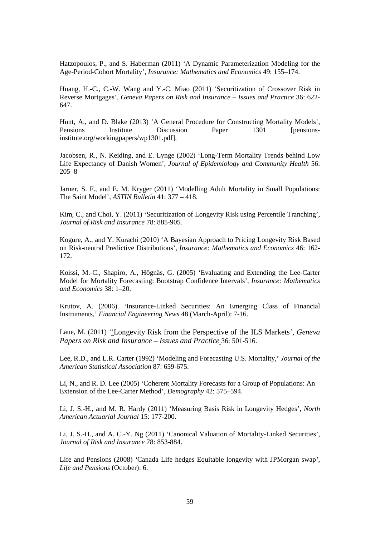Hatzopoulos, P., and S. Haberman (2011) 'A Dynamic Parameterization Modeling for the Age-Period-Cohort Mortality', *Insurance: Mathematics and Economics* 49: 155–174.

Huang, H.-C., C.-W. Wang and Y.-C. Miao (2011) 'Securitization of Crossover Risk in Reverse Mortgages', *Geneva Papers on Risk and Insurance – Issues and Practice* 36: 622- 647.

Hunt, A., and D. Blake (2013) 'A General Procedure for Constructing Mortality Models',<br>Pensions Institute Discussion Paper 1301 [pensions-Pensions Institute Discussion Paper 1301 [pensionsinstitute.org/workingpapers/wp1301.pdf].

Jacobsen, R., N. Keiding, and E. Lynge (2002) 'Long-Term Mortality Trends behind Low Life Expectancy of Danish Women', *Journal of Epidemiology and Community Health* 56: 205–8

Jarner, S. F., and E. M. Kryger (2011) 'Modelling Adult Mortality in Small Populations: The Saint Model', *ASTIN Bulletin* 41: 377 – 418.

Kim, C., and Choi, Y. (2011) 'Securitization of Longevity Risk using Percentile Tranching', *Journal of Risk and Insurance* 78: 885-905.

Kogure, A., and Y. Kurachi (2010) 'A Bayesian Approach to Pricing Longevity Risk Based on Risk-neutral Predictive Distributions', *Insurance: Mathematics and Economics* 46: 162- 172.

Koissi, M.-C., Shapiro, A., Högnäs, G. (2005) 'Evaluating and Extending the Lee-Carter Model for Mortality Forecasting: Bootstrap Confidence Intervals', *Insurance: Mathematics and Economics* 38: 1–20.

Krutov, A. (2006). 'Insurance-Linked Securities: An Emerging Class of Financial Instruments,' *Financial Engineering News* 48 (March-April): 7-16.

Lane, M. (2011) *'*'Longevity Risk from the Perspective of the ILS Markets*'*, *Geneva Papers on Risk and Insurance – Issues and Practice* 36: 501-516.

Lee, R.D., and L.R. Carter (1992) 'Modeling and Forecasting U.S. Mortality,' *Journal of the American Statistical Association* 87: 659-675.

Li, N., and R. D. Lee (2005) 'Coherent Mortality Forecasts for a Group of Populations: An Extension of the Lee-Carter Method', *Demography* 42: 575–594.

Li, J. S.-H., and M. R. Hardy (2011) 'Measuring Basis Risk in Longevity Hedges', *North American Actuarial Journal* 15: 177-200.

Li, J. S.-H., and A. C.-Y. Ng (2011) 'Canonical Valuation of Mortality-Linked Securities', *Journal of Risk and Insurance* 78: 853-884.

Life and Pensions (2008) *'*Canada Life hedges Equitable longevity with JPMorgan swap*'*, *Life and Pensions* (October): 6.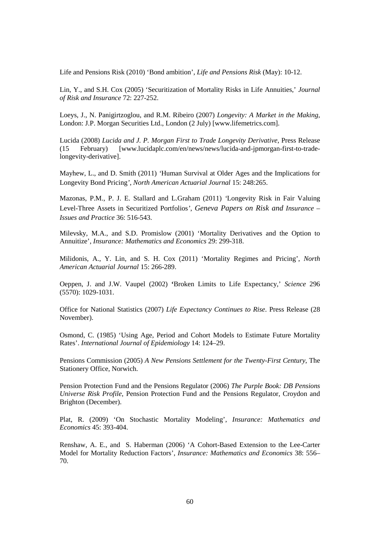Life and Pensions Risk (2010) 'Bond ambition', *Life and Pensions Risk* (May): 10-12.

Lin, Y., and S.H. Cox (2005) 'Securitization of Mortality Risks in Life Annuities,' *Journal of Risk and Insurance* 72: 227-252.

Loeys, J., N. Panigirtzoglou, and R.M. Ribeiro (2007) *Longevity: A Market in the Making*, London: J.P. Morgan Securities Ltd., London (2 July) [www.lifemetrics.com].

Lucida (2008) *Lucida and J. P. Morgan First to Trade Longevity Derivative*, Press Release (15 February) [www.lucidaplc.com/en/news/news/lucida-and-jpmorgan-first-to-tradelongevity-derivative].

Mayhew, L., and D. Smith (2011) *'*Human Survival at Older Ages and the Implications for Longevity Bond Pricing*'*, *North American Actuarial Journal* 15: 248:265.

Mazonas, P.M., P. J. E. Stallard and L.Graham (2011) *'*Longevity Risk in Fair Valuing Level-Three Assets in Securitized Portfolios*'*, *Geneva Papers on Risk and Insurance – Issues and Practice* 36: 516-543.

Milevsky, M.A., and S.D. Promislow (2001) 'Mortality Derivatives and the Option to Annuitize', *Insurance: Mathematics and Economics* 29: 299-318.

Milidonis, A., Y. Lin, and S. H. Cox (2011) 'Mortality Regimes and Pricing', *North American Actuarial Journal* 15: 266-289.

Oeppen, J. and J.W. Vaupel (2002) **'**Broken Limits to Life Expectancy,' *Science* 296 (5570): 1029-1031.

Office for National Statistics (2007) *Life Expectancy Continues to Rise*. Press Release (28 November).

Osmond, C. (1985) 'Using Age, Period and Cohort Models to Estimate Future Mortality Rates'. *International Journal of Epidemiology* 14: 124–29.

Pensions Commission (2005) *A New Pensions Settlement for the Twenty-First Century*, The Stationery Office, Norwich.

Pension Protection Fund and the Pensions Regulator (2006) *The Purple Book: DB Pensions Universe Risk Profile*, Pension Protection Fund and the Pensions Regulator, Croydon and Brighton (December).

Plat, R. (2009) 'On Stochastic Mortality Modeling', *Insurance: Mathematics and Economics* 45: 393-404.

Renshaw, A. E., and S. Haberman (2006) 'A Cohort-Based Extension to the Lee-Carter Model for Mortality Reduction Factors', *Insurance: Mathematics and Economics* 38: 556– 70.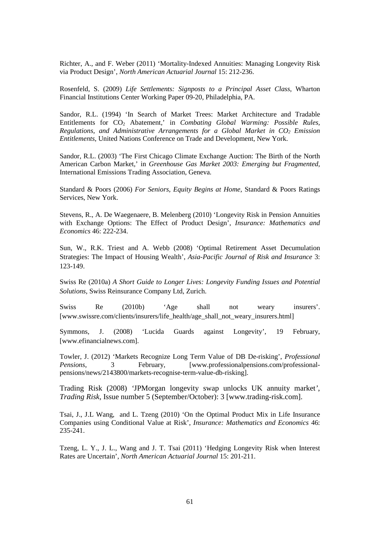Richter, A., and F. Weber (2011) 'Mortality-Indexed Annuities: Managing Longevity Risk via Product Design', *North American Actuarial Journal* 15: 212-236.

Rosenfeld, S. (2009) *Life Settlements: Signposts to a Principal Asset Class*, Wharton Financial Institutions Center Working Paper 09-20, Philadelphia, PA.

Sandor, R.L. (1994) 'In Search of Market Trees: Market Architecture and Tradable Entitlements for CO2 Abatement,' in *Combating Global Warming: Possible Rules, Regulations, and Administrative Arrangements for a Global Market in CO2 Emission Entitlements*, United Nations Conference on Trade and Development, New York.

Sandor, R.L. (2003) 'The First Chicago Climate Exchange Auction: The Birth of the North American Carbon Market,' in *Greenhouse Gas Market 2003: Emerging but Fragmented,*  International Emissions Trading Association, Geneva*.*

Standard & Poors (2006) *For Seniors, Equity Begins at Home*, Standard & Poors Ratings Services, New York.

Stevens, R., A. De Waegenaere, B. Melenberg (2010) 'Longevity Risk in Pension Annuities with Exchange Options: The Effect of Product Design', *Insurance: Mathematics and Economics* 46: 222-234.

Sun, W., R.K. Triest and A. Webb (2008) 'Optimal Retirement Asset Decumulation Strategies: The Impact of Housing Wealth', *Asia-Pacific Journal of Risk and Insurance* 3: 123-149.

Swiss Re (2010a) *A Short Guide to Longer Lives: Longevity Funding Issues and Potential Solutions*, Swiss Reinsurance Company Ltd, Zurich.

Swiss Re (2010b) 'Age shall not weary insurers'. [www.swissre.com/clients/insurers/life\_health/age\_shall\_not\_weary\_insurers.html]

Symmons, J. (2008) 'Lucida Guards against Longevity', 19 February, [www.efinancialnews.com].

Towler, J. (2012) 'Markets Recognize Long Term Value of DB De-risking', *Professional Pensions*, 3 February, [www.professionalpensions.com/professionalpensions/news/2143800/markets-recognise-term-value-db-risking].

Trading Risk (2008) *'*JPMorgan longevity swap unlocks UK annuity market*'*, *Trading Risk,* Issue number 5 (September/October): 3 [www.trading-risk.com].

Tsai, J., J.L Wang, and L. Tzeng (2010) 'On the Optimal Product Mix in Life Insurance Companies using Conditional Value at Risk', *Insurance: Mathematics and Economics* 46: 235-241.

Tzeng, L. Y., J. L., Wang and J. T. Tsai (2011) 'Hedging Longevity Risk when Interest Rates are Uncertain', *North American Actuarial Journal* 15: 201-211.